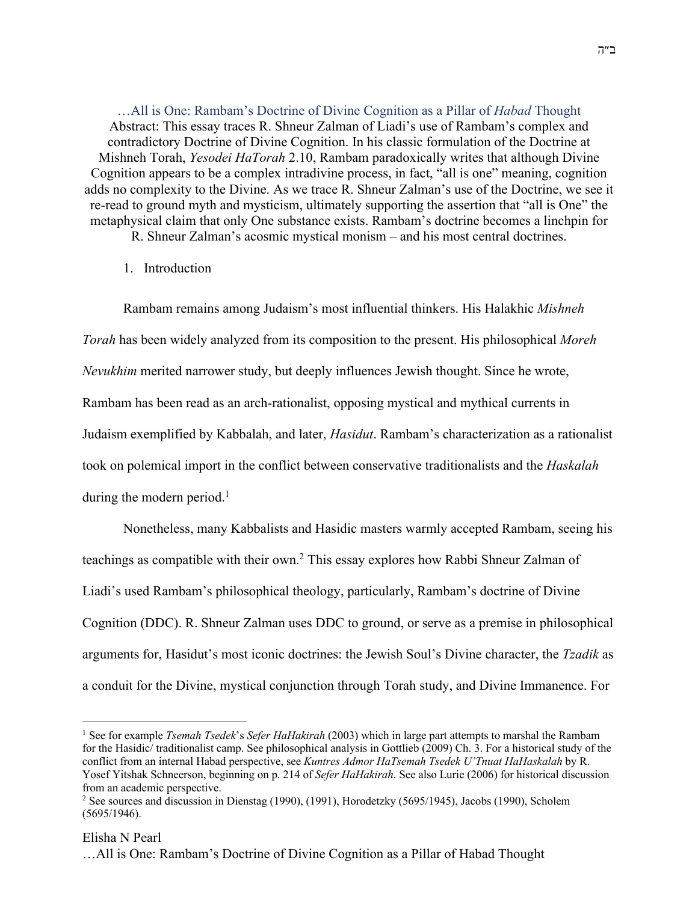…All is One: Rambam's Doctrine of Divine Cognition as a Pillar of *Habad* Thought Abstract: This essay traces R. Shneur Zalman of Liadi's use of Rambam's complex and contradictory Doctrine of Divine Cognition. In his classic formulation of the Doctrine at Mishneh Torah, *Yesodei HaTorah* 2.10, Rambam paradoxically writes that although Divine Cognition appears to be a complex intradivine process, in fact, "all is one" meaning, cognition adds no complexity to the Divine. As we trace R. Shneur Zalman's use of the Doctrine, we see it re-read to ground myth and mysticism, ultimately supporting the assertion that "all is One" the metaphysical claim that only One substance exists. Rambam's doctrine becomes a linchpin for R. Shneur Zalman's acosmic mystical monism – and his most central doctrines.

# 1. Introduction

Rambam remains among Judaism's most influential thinkers. His Halakhic *Mishneh Torah* has been widely analyzed from its composition to the present. His philosophical *Moreh Nevukhim* merited narrower study, but deeply influences Jewish thought. Since he wrote, Rambam has been read as an arch-rationalist, opposing mystical and mythical currents in Judaism exemplified by Kabbalah, and later, *Hasidut*. Rambam's characterization as a rationalist took on polemical import in the conflict between conservative traditionalists and the *Haskalah* during the modern period. $<sup>1</sup>$ </sup>

Nonetheless, many Kabbalists and Hasidic masters warmly accepted Rambam, seeing his teachings as compatible with their own.2 This essay explores how Rabbi Shneur Zalman of Liadi's used Rambam's philosophical theology, particularly, Rambam's doctrine of Divine Cognition (DDC). R. Shneur Zalman uses DDC to ground, or serve as a premise in philosophical arguments for, Hasidut's most iconic doctrines: the Jewish Soul's Divine character, the *Tzadik* as a conduit for the Divine, mystical conjunction through Torah study, and Divine Immanence. For

# Elisha N Pearl

<sup>1</sup> See for example *Tsemah Tsedek*'s *Sefer HaHakirah* (2003) which in large part attempts to marshal the Rambam for the Hasidic/ traditionalist camp. See philosophical analysis in Gottlieb (2009) Ch. 3. For a historical study of the conflict from an internal Habad perspective, see *Kuntres Admor HaTsemah Tsedek U'Tnuat HaHaskalah* by R. Yosef Yitshak Schneerson, beginning on p. 214 of *Sefer HaHakirah*. See also Lurie (2006) for historical discussion from an academic perspective.

<sup>2</sup> See sources and discussion in Dienstag (1990), (1991), Horodetzky (5695/1945), Jacobs (1990), Scholem (5695/1946).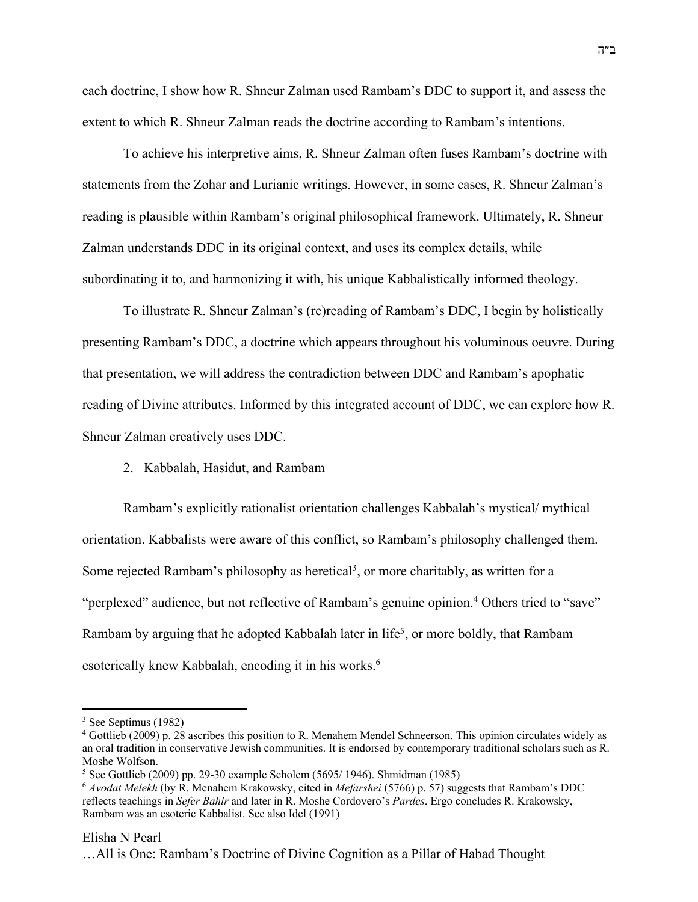each doctrine, I show how R. Shneur Zalman used Rambam's DDC to support it, and assess the extent to which R. Shneur Zalman reads the doctrine according to Rambam's intentions.

To achieve his interpretive aims, R. Shneur Zalman often fuses Rambam's doctrine with statements from the Zohar and Lurianic writings. However, in some cases, R. Shneur Zalman's reading is plausible within Rambam's original philosophical framework. Ultimately, R. Shneur Zalman understands DDC in its original context, and uses its complex details, while subordinating it to, and harmonizing it with, his unique Kabbalistically informed theology.

To illustrate R. Shneur Zalman's (re)reading of Rambam's DDC, I begin by holistically presenting Rambam's DDC, a doctrine which appears throughout his voluminous oeuvre. During that presentation, we will address the contradiction between DDC and Rambam's apophatic reading of Divine attributes. Informed by this integrated account of DDC, we can explore how R. Shneur Zalman creatively uses DDC.

## 2. Kabbalah, Hasidut, and Rambam

Rambam's explicitly rationalist orientation challenges Kabbalah's mystical/ mythical orientation. Kabbalists were aware of this conflict, so Rambam's philosophy challenged them. Some rejected Rambam's philosophy as heretical<sup>3</sup>, or more charitably, as written for a "perplexed" audience, but not reflective of Rambam's genuine opinion.<sup>4</sup> Others tried to "save" Rambam by arguing that he adopted Kabbalah later in life<sup>5</sup>, or more boldly, that Rambam esoterically knew Kabbalah, encoding it in his works.<sup>6</sup>

#### Elisha N Pearl

<sup>3</sup> See Septimus (1982)

<sup>4</sup> Gottlieb (2009) p. 28 ascribes this position to R. Menahem Mendel Schneerson. This opinion circulates widely as an oral tradition in conservative Jewish communities. It is endorsed by contemporary traditional scholars such as R. Moshe Wolfson.

 $5$  See Gottlieb (2009) pp. 29-30 example Scholem (5695/ 1946). Shmidman (1985)

<sup>6</sup> *Avodat Melekh* (by R. Menahem Krakowsky, cited in *Mefarshei* (5766) p. 57) suggests that Rambam's DDC reflects teachings in *Sefer Bahir* and later in R. Moshe Cordovero's *Pardes*. Ergo concludes R. Krakowsky, Rambam was an esoteric Kabbalist. See also Idel (1991)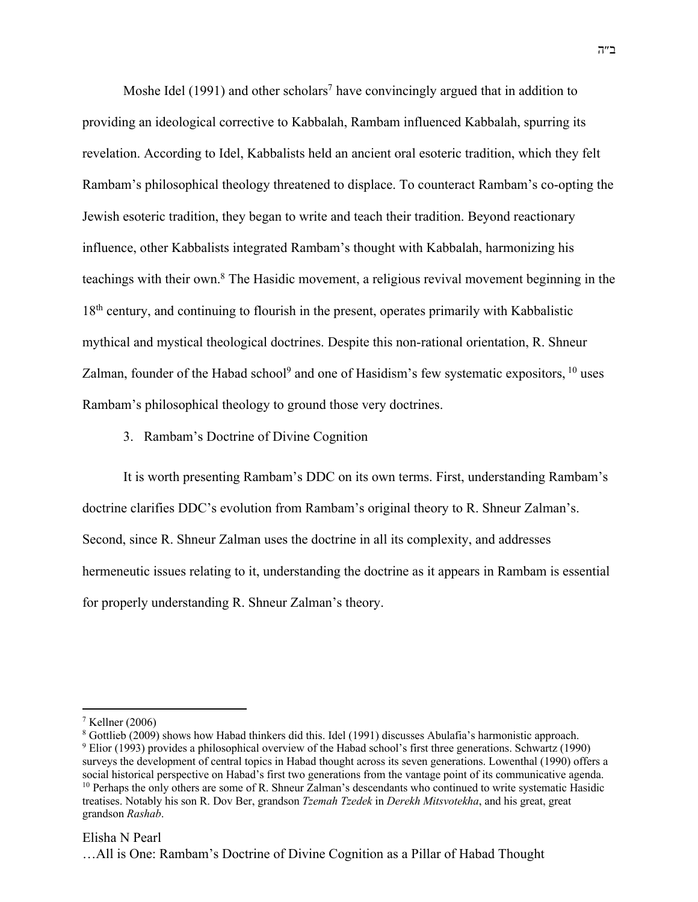Moshe Idel (1991) and other scholars<sup>7</sup> have convincingly argued that in addition to providing an ideological corrective to Kabbalah, Rambam influenced Kabbalah, spurring its revelation. According to Idel, Kabbalists held an ancient oral esoteric tradition, which they felt Rambam's philosophical theology threatened to displace. To counteract Rambam's co-opting the Jewish esoteric tradition, they began to write and teach their tradition. Beyond reactionary influence, other Kabbalists integrated Rambam's thought with Kabbalah, harmonizing his teachings with their own.8 The Hasidic movement, a religious revival movement beginning in the 18<sup>th</sup> century, and continuing to flourish in the present, operates primarily with Kabbalistic mythical and mystical theological doctrines. Despite this non-rational orientation, R. Shneur Zalman, founder of the Habad school<sup>9</sup> and one of Hasidism's few systematic expositors, <sup>10</sup> uses Rambam's philosophical theology to ground those very doctrines.

3. Rambam's Doctrine of Divine Cognition

It is worth presenting Rambam's DDC on its own terms. First, understanding Rambam's doctrine clarifies DDC's evolution from Rambam's original theory to R. Shneur Zalman's. Second, since R. Shneur Zalman uses the doctrine in all its complexity, and addresses hermeneutic issues relating to it, understanding the doctrine as it appears in Rambam is essential for properly understanding R. Shneur Zalman's theory.

## Elisha N Pearl

<sup>7</sup> Kellner (2006)

<sup>8</sup> Gottlieb (2009) shows how Habad thinkers did this. Idel (1991) discusses Abulafia's harmonistic approach. <sup>9</sup> Elior (1993) provides a philosophical overview of the Habad school's first three generations. Schwartz (1990) surveys the development of central topics in Habad thought across its seven generations. Lowenthal (1990) offers a social historical perspective on Habad's first two generations from the vantage point of its communicative agenda. <sup>10</sup> Perhaps the only others are some of R. Shneur Zalman's descendants who continued to write systematic Hasidic treatises. Notably his son R. Dov Ber, grandson *Tzemah Tzedek* in *Derekh Mitsvotekha*, and his great, great grandson *Rashab*.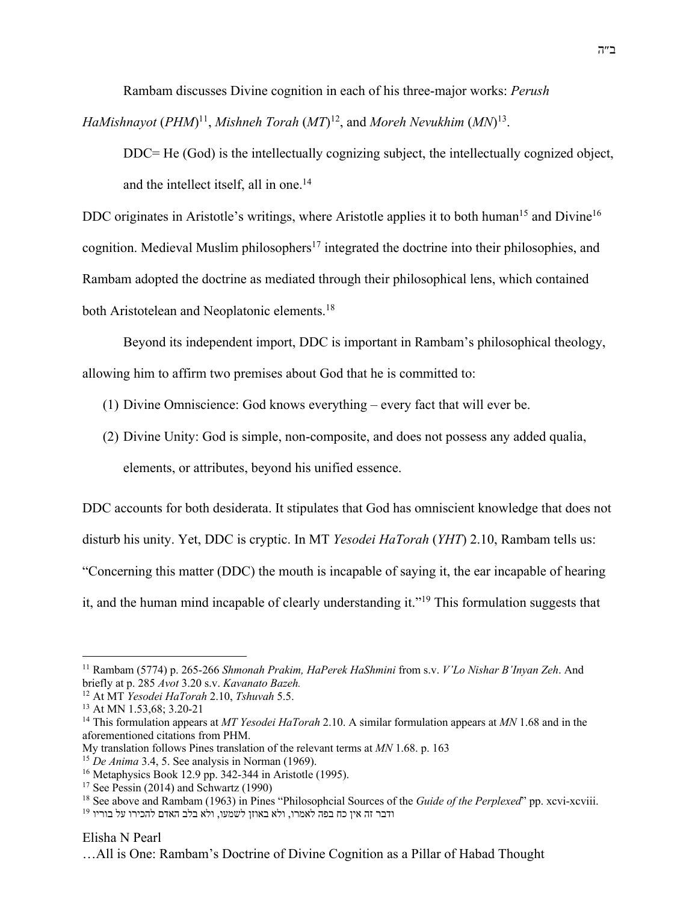Rambam discusses Divine cognition in each of his three-major works: *Perush*

*HaMishnayot* (*PHM*)<sup>11</sup>, *Mishneh Torah* (*MT*)<sup>12</sup>, and *Moreh Nevukhim* (*MN*)<sup>13</sup>.

DDC= He (God) is the intellectually cognizing subject, the intellectually cognized object, and the intellect itself, all in one.<sup>14</sup>

DDC originates in Aristotle's writings, where Aristotle applies it to both human<sup>15</sup> and Divine<sup>16</sup> cognition. Medieval Muslim philosophers<sup>17</sup> integrated the doctrine into their philosophies, and Rambam adopted the doctrine as mediated through their philosophical lens, which contained both Aristotelean and Neoplatonic elements.<sup>18</sup>

Beyond its independent import, DDC is important in Rambam's philosophical theology,

allowing him to affirm two premises about God that he is committed to:

(1) Divine Omniscience: God knows everything – every fact that will ever be.

(2) Divine Unity: God is simple, non-composite, and does not possess any added qualia, elements, or attributes, beyond his unified essence.

DDC accounts for both desiderata. It stipulates that God has omniscient knowledge that does not disturb his unity. Yet, DDC is cryptic. In MT *Yesodei HaTorah* (*YHT*) 2.10, Rambam tells us: "Concerning this matter (DDC) the mouth is incapable of saying it, the ear incapable of hearing it, and the human mind incapable of clearly understanding it."19 This formulation suggests that

#### Elisha N Pearl

<sup>11</sup> Rambam (5774) p. 265-266 *Shmonah Prakim, HaPerek HaShmini* from s.v. *V'Lo Nishar B'Inyan Zeh*. And briefly at p. 285 *Avot* 3.20 s.v. *Kavanato Bazeh.*

<sup>12</sup> At MT *Yesodei HaTorah* 2.10, *Tshuvah* 5.5.

<sup>13</sup> At MN 1.53,68; 3.20-21

<sup>14</sup> This formulation appears at *MT Yesodei HaTorah* 2.10. A similar formulation appears at *MN* 1.68 and in the aforementioned citations from PHM.

My translation follows Pines translation of the relevant terms at *MN* 1.68. p. 163

<sup>15</sup> *De Anima* 3.4, 5. See analysis in Norman (1969).

<sup>16</sup> Metaphysics Book 12.9 pp. 342-344 in Aristotle (1995).

 $17$  See Pessin (2014) and Schwartz (1990)

<sup>18</sup> See above and Rambam (1963) in Pines "Philosophcial Sources of the *Guide of the Perplexed*" pp. xcvi-xcviii.

<sup>19</sup> רדבר זה אין כח בפה לאמרו, ולא באוזן לשמעו, ולא בלב האדם להכירו על בוריו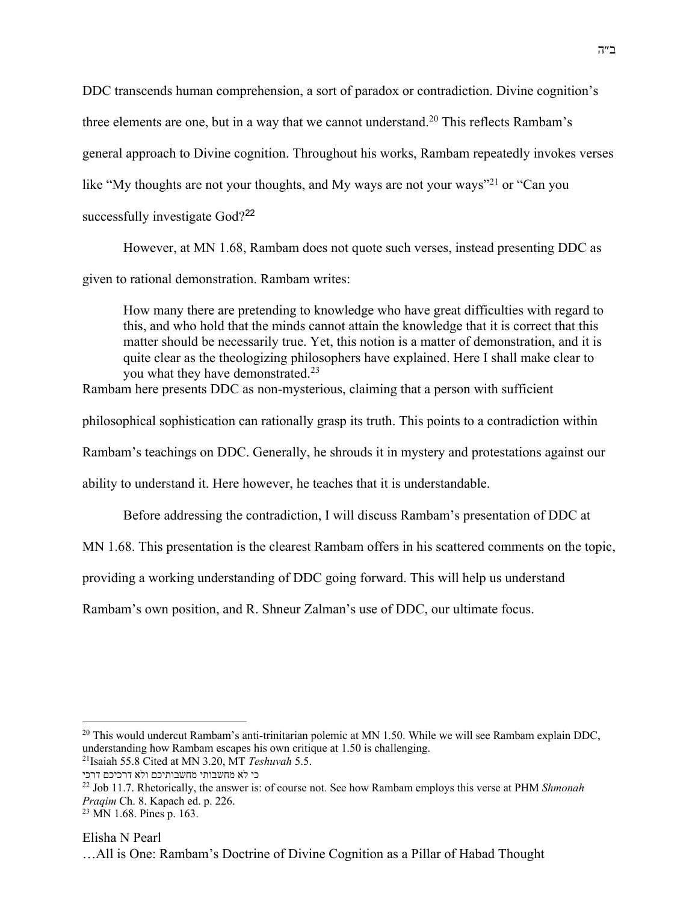DDC transcends human comprehension, a sort of paradox or contradiction. Divine cognition's three elements are one, but in a way that we cannot understand.<sup>20</sup> This reflects Rambam's general approach to Divine cognition. Throughout his works, Rambam repeatedly invokes verses like "My thoughts are not your thoughts, and My ways are not your ways"<sup>21</sup> or "Can you successfully investigate God?<sup>22</sup>

However, at MN 1.68, Rambam does not quote such verses, instead presenting DDC as

given to rational demonstration. Rambam writes:

How many there are pretending to knowledge who have great difficulties with regard to this, and who hold that the minds cannot attain the knowledge that it is correct that this matter should be necessarily true. Yet, this notion is a matter of demonstration, and it is quite clear as the theologizing philosophers have explained. Here I shall make clear to you what they have demonstrated.<sup>23</sup>

Rambam here presents DDC as non-mysterious, claiming that a person with sufficient

philosophical sophistication can rationally grasp its truth. This points to a contradiction within

Rambam's teachings on DDC. Generally, he shrouds it in mystery and protestations against our

ability to understand it. Here however, he teaches that it is understandable.

Before addressing the contradiction, I will discuss Rambam's presentation of DDC at

MN 1.68. This presentation is the clearest Rambam offers in his scattered comments on the topic,

providing a working understanding of DDC going forward. This will help us understand

Rambam's own position, and R. Shneur Zalman's use of DDC, our ultimate focus.

 $20$  This would undercut Rambam's anti-trinitarian polemic at MN 1.50. While we will see Rambam explain DDC, understanding how Rambam escapes his own critique at 1.50 is challenging.

<sup>21</sup>Isaiah 55.8 Cited at MN 3.20, MT *Teshuvah* 5.5.

כי לא מחשבותי מחשבותיכם ולא דרכיכם דרכי

<sup>22</sup> Job 11.7. Rhetorically, the answer is: of course not. See how Rambam employs this verse at PHM *Shmonah Praqim* Ch. 8. Kapach ed. p. 226.

<sup>23</sup> MN 1.68. Pines p. 163.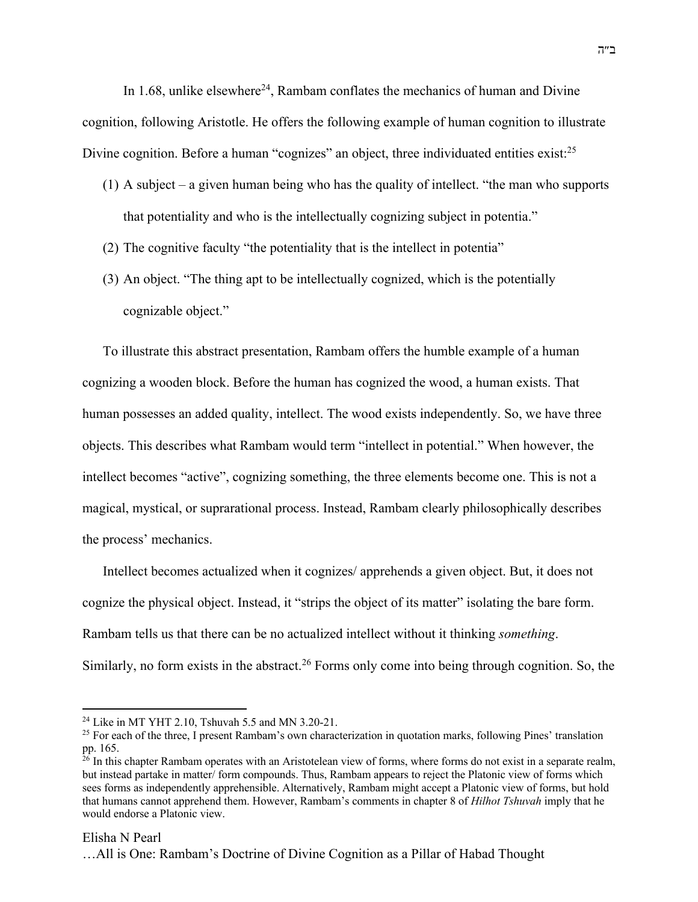In 1.68, unlike elsewhere<sup>24</sup>, Rambam conflates the mechanics of human and Divine cognition, following Aristotle. He offers the following example of human cognition to illustrate Divine cognition. Before a human "cognizes" an object, three individuated entities exist:<sup>25</sup>

- (1) A subject a given human being who has the quality of intellect. "the man who supports that potentiality and who is the intellectually cognizing subject in potentia."
- (2) The cognitive faculty "the potentiality that is the intellect in potentia"
- (3) An object. "The thing apt to be intellectually cognized, which is the potentially cognizable object."

To illustrate this abstract presentation, Rambam offers the humble example of a human cognizing a wooden block. Before the human has cognized the wood, a human exists. That human possesses an added quality, intellect. The wood exists independently. So, we have three objects. This describes what Rambam would term "intellect in potential." When however, the intellect becomes "active", cognizing something, the three elements become one. This is not a magical, mystical, or suprarational process. Instead, Rambam clearly philosophically describes the process' mechanics.

Intellect becomes actualized when it cognizes/ apprehends a given object. But, it does not cognize the physical object. Instead, it "strips the object of its matter" isolating the bare form. Rambam tells us that there can be no actualized intellect without it thinking *something*. Similarly, no form exists in the abstract.<sup>26</sup> Forms only come into being through cognition. So, the

#### Elisha N Pearl

<sup>24</sup> Like in MT YHT 2.10, Tshuvah 5.5 and MN 3.20-21.

<sup>&</sup>lt;sup>25</sup> For each of the three, I present Rambam's own characterization in quotation marks, following Pines' translation pp. 165.

<sup>&</sup>lt;sup>26</sup> In this chapter Rambam operates with an Aristotelean view of forms, where forms do not exist in a separate realm, but instead partake in matter/ form compounds. Thus, Rambam appears to reject the Platonic view of forms which sees forms as independently apprehensible. Alternatively, Rambam might accept a Platonic view of forms, but hold that humans cannot apprehend them. However, Rambam's comments in chapter 8 of *Hilhot Tshuvah* imply that he would endorse a Platonic view.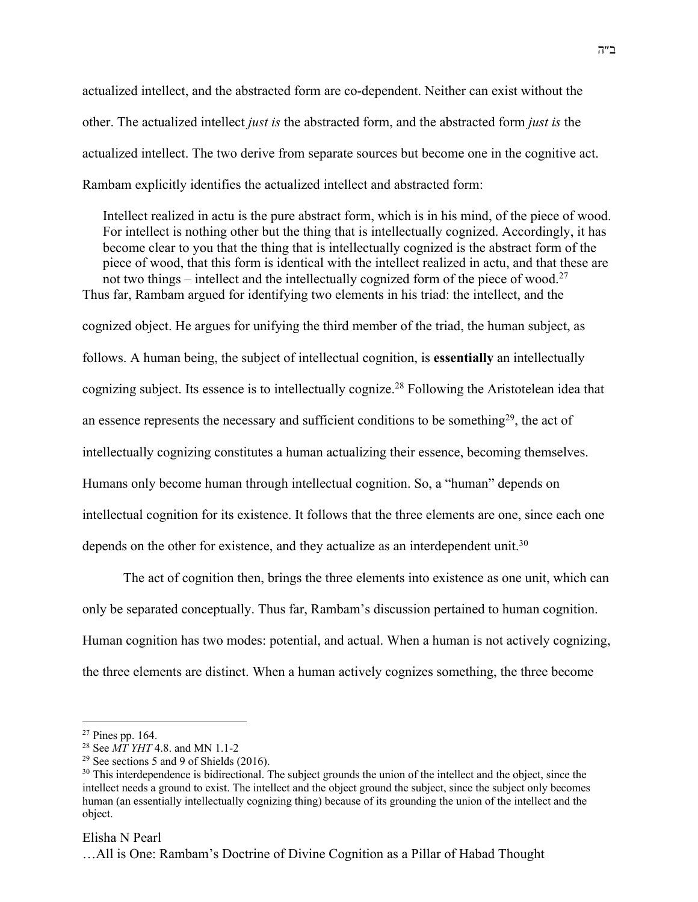actualized intellect, and the abstracted form are co-dependent. Neither can exist without the other. The actualized intellect *just is* the abstracted form, and the abstracted form *just is* the actualized intellect. The two derive from separate sources but become one in the cognitive act. Rambam explicitly identifies the actualized intellect and abstracted form:

Intellect realized in actu is the pure abstract form, which is in his mind, of the piece of wood. For intellect is nothing other but the thing that is intellectually cognized. Accordingly, it has become clear to you that the thing that is intellectually cognized is the abstract form of the piece of wood, that this form is identical with the intellect realized in actu, and that these are not two things – intellect and the intellectually cognized form of the piece of wood.<sup>27</sup> Thus far, Rambam argued for identifying two elements in his triad: the intellect, and the cognized object. He argues for unifying the third member of the triad, the human subject, as follows. A human being, the subject of intellectual cognition, is **essentially** an intellectually cognizing subject. Its essence is to intellectually cognize.28 Following the Aristotelean idea that an essence represents the necessary and sufficient conditions to be something<sup>29</sup>, the act of intellectually cognizing constitutes a human actualizing their essence, becoming themselves. Humans only become human through intellectual cognition. So, a "human" depends on

intellectual cognition for its existence. It follows that the three elements are one, since each one depends on the other for existence, and they actualize as an interdependent unit.<sup>30</sup>

The act of cognition then, brings the three elements into existence as one unit, which can only be separated conceptually. Thus far, Rambam's discussion pertained to human cognition. Human cognition has two modes: potential, and actual. When a human is not actively cognizing, the three elements are distinct. When a human actively cognizes something, the three become

#### Elisha N Pearl

<sup>27</sup> Pines pp. 164.

<sup>28</sup> See *MT YHT* 4.8. and MN 1.1-2

<sup>&</sup>lt;sup>29</sup> See sections 5 and 9 of Shields  $(2016)$ .

<sup>&</sup>lt;sup>30</sup> This interdependence is bidirectional. The subject grounds the union of the intellect and the object, since the intellect needs a ground to exist. The intellect and the object ground the subject, since the subject only becomes human (an essentially intellectually cognizing thing) because of its grounding the union of the intellect and the object.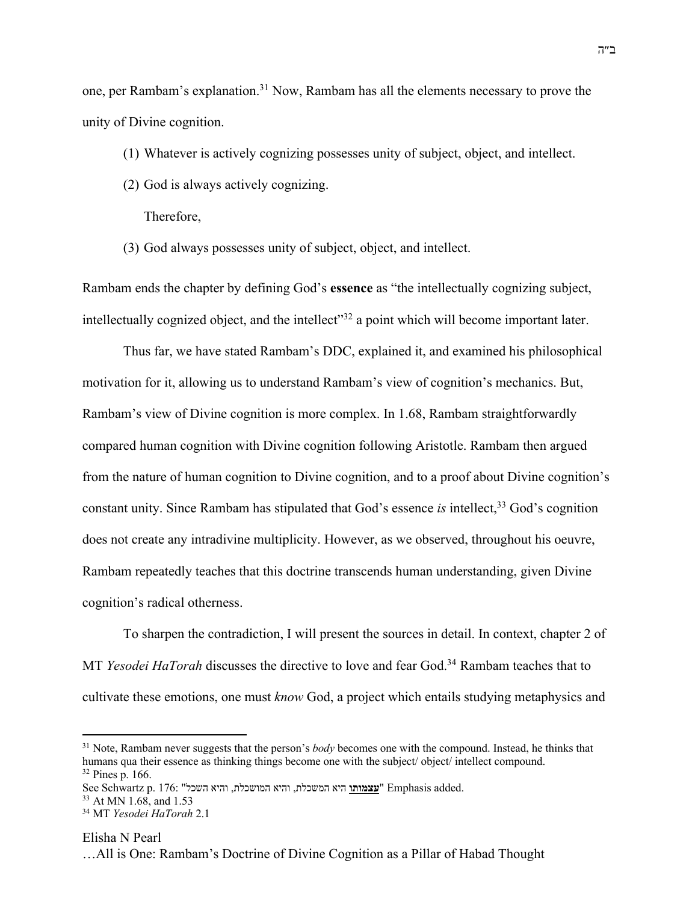one, per Rambam's explanation.<sup>31</sup> Now, Rambam has all the elements necessary to prove the unity of Divine cognition.

- (1) Whatever is actively cognizing possesses unity of subject, object, and intellect.
- (2) God is always actively cognizing.

Therefore,

(3) God always possesses unity of subject, object, and intellect.

Rambam ends the chapter by defining God's **essence** as "the intellectually cognizing subject, intellectually cognized object, and the intellect"<sup>32</sup> a point which will become important later.

Thus far, we have stated Rambam's DDC, explained it, and examined his philosophical motivation for it, allowing us to understand Rambam's view of cognition's mechanics. But, Rambam's view of Divine cognition is more complex. In 1.68, Rambam straightforwardly compared human cognition with Divine cognition following Aristotle. Rambam then argued from the nature of human cognition to Divine cognition, and to a proof about Divine cognition's constant unity. Since Rambam has stipulated that God's essence *is* intellect,<sup>33</sup> God's cognition does not create any intradivine multiplicity. However, as we observed, throughout his oeuvre, Rambam repeatedly teaches that this doctrine transcends human understanding, given Divine cognition's radical otherness.

To sharpen the contradiction, I will present the sources in detail. In context, chapter 2 of MT *Yesodei HaTorah* discusses the directive to love and fear God.34 Rambam teaches that to cultivate these emotions, one must *know* God, a project which entails studying metaphysics and

<sup>33</sup> At MN 1.68, and 1.53

<sup>31</sup> Note, Rambam never suggests that the person's *body* becomes one with the compound. Instead, he thinks that humans qua their essence as thinking things become one with the subject/ object/ intellect compound.  $32$  Pines p. 166.

See Schwartz p. 176: " איה תלכשמה, איהו תלכשומה, איהו לכשה **ותומצע** " Emphasis added.

<sup>34</sup> MT *Yesodei HaTorah* 2.1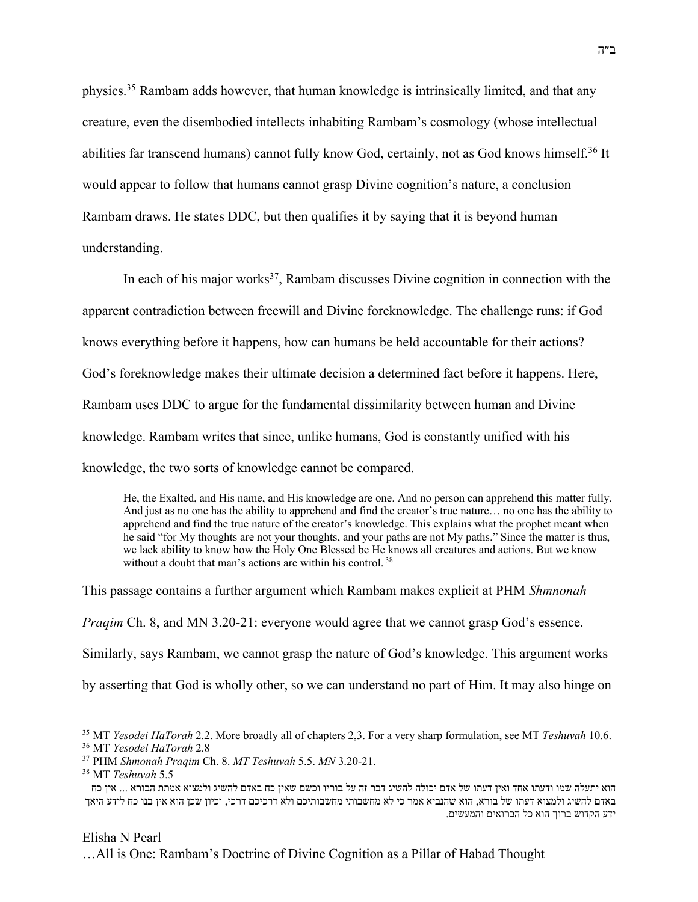physics.35 Rambam adds however, that human knowledge is intrinsically limited, and that any creature, even the disembodied intellects inhabiting Rambam's cosmology (whose intellectual abilities far transcend humans) cannot fully know God, certainly, not as God knows himself.36 It would appear to follow that humans cannot grasp Divine cognition's nature, a conclusion Rambam draws. He states DDC, but then qualifies it by saying that it is beyond human understanding.

In each of his major works<sup>37</sup>, Rambam discusses Divine cognition in connection with the apparent contradiction between freewill and Divine foreknowledge. The challenge runs: if God knows everything before it happens, how can humans be held accountable for their actions? God's foreknowledge makes their ultimate decision a determined fact before it happens. Here, Rambam uses DDC to argue for the fundamental dissimilarity between human and Divine knowledge. Rambam writes that since, unlike humans, God is constantly unified with his knowledge, the two sorts of knowledge cannot be compared.

He, the Exalted, and His name, and His knowledge are one. And no person can apprehend this matter fully. And just as no one has the ability to apprehend and find the creator's true nature… no one has the ability to apprehend and find the true nature of the creator's knowledge. This explains what the prophet meant when he said "for My thoughts are not your thoughts, and your paths are not My paths." Since the matter is thus, we lack ability to know how the Holy One Blessed be He knows all creatures and actions. But we know without a doubt that man's actions are within his control.<sup>38</sup>

This passage contains a further argument which Rambam makes explicit at PHM *Shmnonah Praqim* Ch. 8, and MN 3.20-21: everyone would agree that we cannot grasp God's essence. Similarly, says Rambam, we cannot grasp the nature of God's knowledge. This argument works by asserting that God is wholly other, so we can understand no part of Him. It may also hinge on

# Elisha N Pearl

<sup>35</sup> MT *Yesodei HaTorah* 2.2. More broadly all of chapters 2,3. For a very sharp formulation, see MT *Teshuvah* 10.6.

<sup>36</sup> MT *Yesodei HaTorah* 2.8

<sup>37</sup> PHM *Shmonah Praqim* Ch. 8. *MT Teshuvah* 5.5. *MN* 3.20-21. <sup>38</sup> MT *Teshuvah* 5.5

הוא יתעלה שמו ודעתו אחד ואין דעתו של אדם יכולה להשיג דבר זה על בוריו וכשם שאין כח באדם להשיג ולמצוא אמתת הבורא ... אין כח באדם להשיג ולמצוא דעתו של בורא, הוא שהנביא אמר כי לא מחשבותי מחשבותיכם ולא דרכיכם דרכי, וכיון שכן הוא אין בנו כח לידע היאך .<br>ידע הקדוש ברוך הוא כל הברואים והמעשים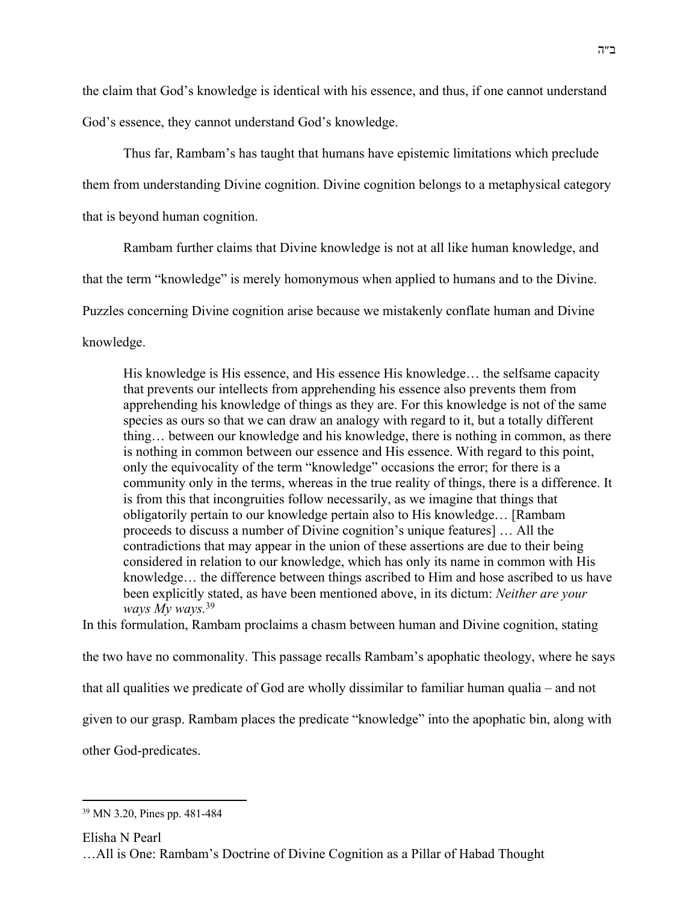the claim that God's knowledge is identical with his essence, and thus, if one cannot understand God's essence, they cannot understand God's knowledge.

Thus far, Rambam's has taught that humans have epistemic limitations which preclude

them from understanding Divine cognition. Divine cognition belongs to a metaphysical category

that is beyond human cognition.

Rambam further claims that Divine knowledge is not at all like human knowledge, and

that the term "knowledge" is merely homonymous when applied to humans and to the Divine.

Puzzles concerning Divine cognition arise because we mistakenly conflate human and Divine

knowledge.

His knowledge is His essence, and His essence His knowledge… the selfsame capacity that prevents our intellects from apprehending his essence also prevents them from apprehending his knowledge of things as they are. For this knowledge is not of the same species as ours so that we can draw an analogy with regard to it, but a totally different thing… between our knowledge and his knowledge, there is nothing in common, as there is nothing in common between our essence and His essence. With regard to this point, only the equivocality of the term "knowledge" occasions the error; for there is a community only in the terms, whereas in the true reality of things, there is a difference. It is from this that incongruities follow necessarily, as we imagine that things that obligatorily pertain to our knowledge pertain also to His knowledge… [Rambam proceeds to discuss a number of Divine cognition's unique features] … All the contradictions that may appear in the union of these assertions are due to their being considered in relation to our knowledge, which has only its name in common with His knowledge… the difference between things ascribed to Him and hose ascribed to us have been explicitly stated, as have been mentioned above, in its dictum: *Neither are your ways My ways.*<sup>39</sup>

In this formulation, Rambam proclaims a chasm between human and Divine cognition, stating the two have no commonality. This passage recalls Rambam's apophatic theology, where he says that all qualities we predicate of God are wholly dissimilar to familiar human qualia – and not given to our grasp. Rambam places the predicate "knowledge" into the apophatic bin, along with other God-predicates.

Elisha N Pearl

<sup>39</sup> MN 3.20, Pines pp. 481-484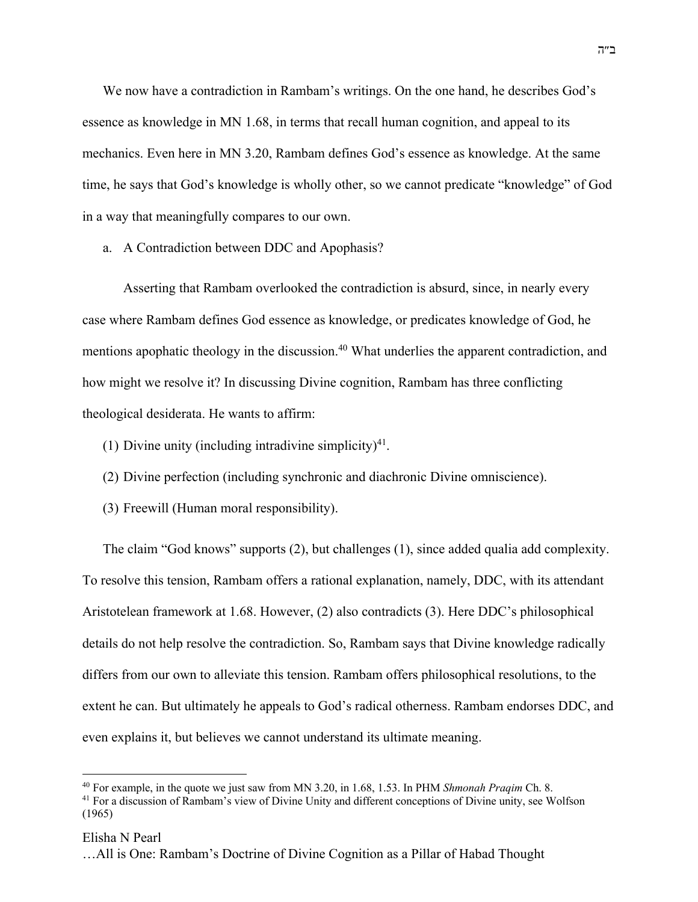We now have a contradiction in Rambam's writings. On the one hand, he describes God's essence as knowledge in MN 1.68, in terms that recall human cognition, and appeal to its mechanics. Even here in MN 3.20, Rambam defines God's essence as knowledge. At the same time, he says that God's knowledge is wholly other, so we cannot predicate "knowledge" of God in a way that meaningfully compares to our own.

a. A Contradiction between DDC and Apophasis?

Asserting that Rambam overlooked the contradiction is absurd, since, in nearly every case where Rambam defines God essence as knowledge, or predicates knowledge of God, he mentions apophatic theology in the discussion.<sup>40</sup> What underlies the apparent contradiction, and how might we resolve it? In discussing Divine cognition, Rambam has three conflicting theological desiderata. He wants to affirm:

- (1) Divine unity (including intradivine simplicity)<sup>41</sup>.
- (2) Divine perfection (including synchronic and diachronic Divine omniscience).
- (3) Freewill (Human moral responsibility).

The claim "God knows" supports (2), but challenges (1), since added qualia add complexity. To resolve this tension, Rambam offers a rational explanation, namely, DDC, with its attendant Aristotelean framework at 1.68. However, (2) also contradicts (3). Here DDC's philosophical details do not help resolve the contradiction. So, Rambam says that Divine knowledge radically differs from our own to alleviate this tension. Rambam offers philosophical resolutions, to the extent he can. But ultimately he appeals to God's radical otherness. Rambam endorses DDC, and even explains it, but believes we cannot understand its ultimate meaning.

<sup>40</sup> For example, in the quote we just saw from MN 3.20, in 1.68, 1.53. In PHM *Shmonah Praqim* Ch. 8.

<sup>&</sup>lt;sup>41</sup> For a discussion of Rambam's view of Divine Unity and different conceptions of Divine unity, see Wolfson (1965)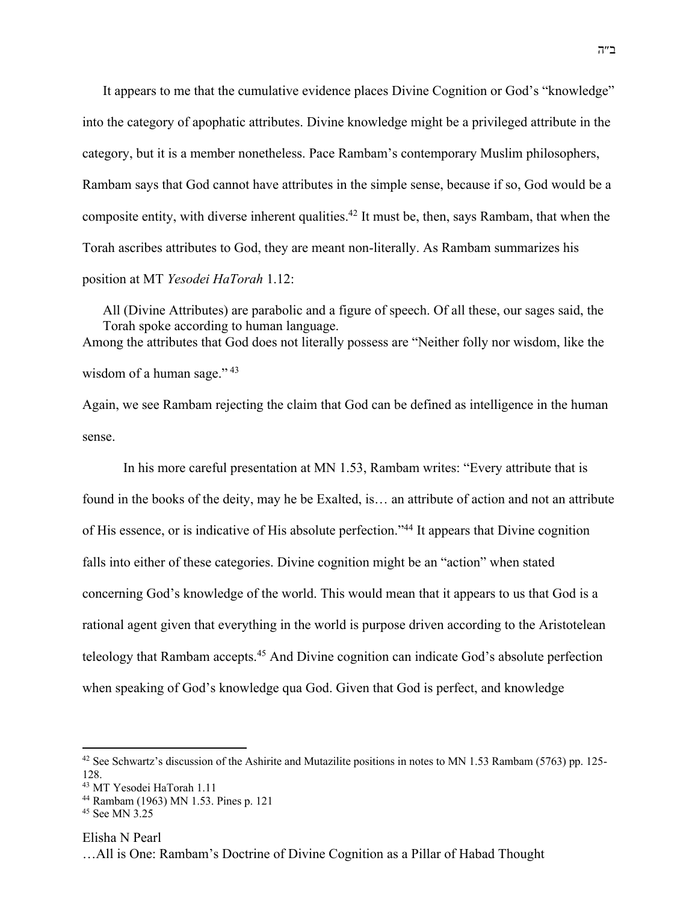It appears to me that the cumulative evidence places Divine Cognition or God's "knowledge" into the category of apophatic attributes. Divine knowledge might be a privileged attribute in the category, but it is a member nonetheless. Pace Rambam's contemporary Muslim philosophers, Rambam says that God cannot have attributes in the simple sense, because if so, God would be a composite entity, with diverse inherent qualities.42 It must be, then, says Rambam, that when the Torah ascribes attributes to God, they are meant non-literally. As Rambam summarizes his position at MT *Yesodei HaTorah* 1.12:

All (Divine Attributes) are parabolic and a figure of speech. Of all these, our sages said, the Torah spoke according to human language. Among the attributes that God does not literally possess are "Neither folly nor wisdom, like the wisdom of a human sage."<sup>43</sup>

Again, we see Rambam rejecting the claim that God can be defined as intelligence in the human sense.

In his more careful presentation at MN 1.53, Rambam writes: "Every attribute that is found in the books of the deity, may he be Exalted, is… an attribute of action and not an attribute of His essence, or is indicative of His absolute perfection."44 It appears that Divine cognition falls into either of these categories. Divine cognition might be an "action" when stated concerning God's knowledge of the world. This would mean that it appears to us that God is a rational agent given that everything in the world is purpose driven according to the Aristotelean teleology that Rambam accepts.<sup>45</sup> And Divine cognition can indicate God's absolute perfection when speaking of God's knowledge qua God. Given that God is perfect, and knowledge

Elisha N Pearl

<sup>&</sup>lt;sup>42</sup> See Schwartz's discussion of the Ashirite and Mutazilite positions in notes to MN 1.53 Rambam (5763) pp. 125-128.

<sup>43</sup> MT Yesodei HaTorah 1.11

<sup>44</sup> Rambam (1963) MN 1.53. Pines p. 121

<sup>&</sup>lt;sup>45</sup> See MN 3.25

<sup>…</sup>All is One: Rambam's Doctrine of Divine Cognition as a Pillar of Habad Thought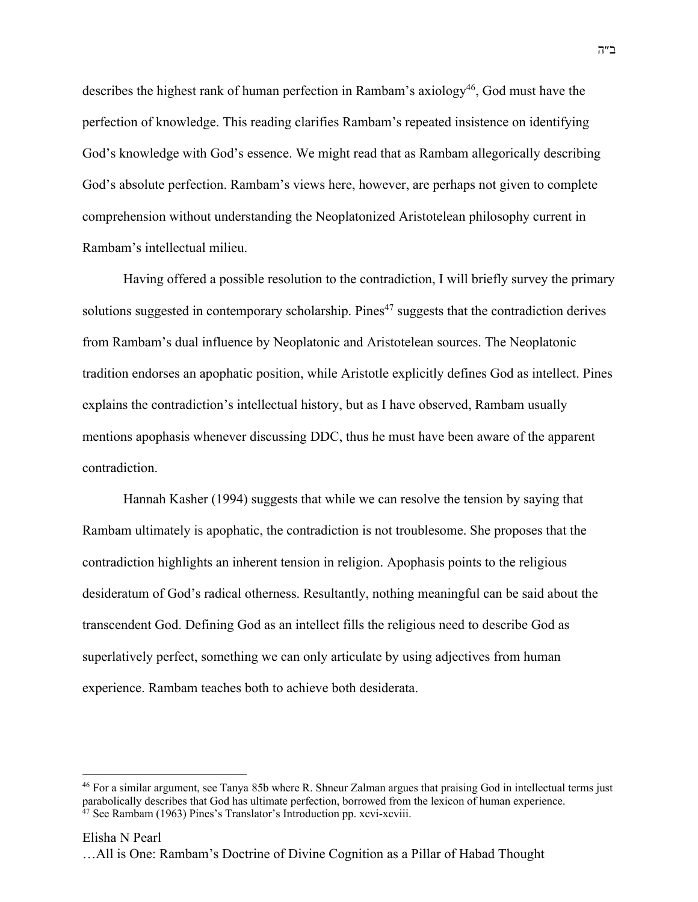describes the highest rank of human perfection in Rambam's axiology<sup>46</sup>, God must have the perfection of knowledge. This reading clarifies Rambam's repeated insistence on identifying God's knowledge with God's essence. We might read that as Rambam allegorically describing God's absolute perfection. Rambam's views here, however, are perhaps not given to complete comprehension without understanding the Neoplatonized Aristotelean philosophy current in Rambam's intellectual milieu.

Having offered a possible resolution to the contradiction, I will briefly survey the primary solutions suggested in contemporary scholarship. Pines<sup> $47$ </sup> suggests that the contradiction derives from Rambam's dual influence by Neoplatonic and Aristotelean sources. The Neoplatonic tradition endorses an apophatic position, while Aristotle explicitly defines God as intellect. Pines explains the contradiction's intellectual history, but as I have observed, Rambam usually mentions apophasis whenever discussing DDC, thus he must have been aware of the apparent contradiction.

Hannah Kasher (1994) suggests that while we can resolve the tension by saying that Rambam ultimately is apophatic, the contradiction is not troublesome. She proposes that the contradiction highlights an inherent tension in religion. Apophasis points to the religious desideratum of God's radical otherness. Resultantly, nothing meaningful can be said about the transcendent God. Defining God as an intellect fills the religious need to describe God as superlatively perfect, something we can only articulate by using adjectives from human experience. Rambam teaches both to achieve both desiderata.

<sup>46</sup> For a similar argument, see Tanya 85b where R. Shneur Zalman argues that praising God in intellectual terms just parabolically describes that God has ultimate perfection, borrowed from the lexicon of human experience. <sup>47</sup> See Rambam (1963) Pines's Translator's Introduction pp. xcvi-xcviii.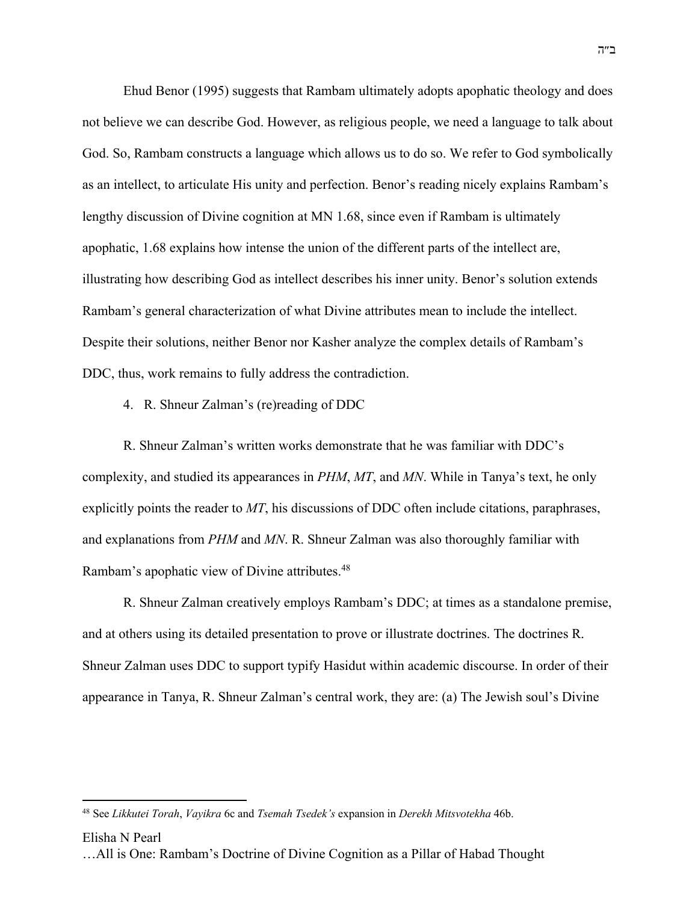Ehud Benor (1995) suggests that Rambam ultimately adopts apophatic theology and does not believe we can describe God. However, as religious people, we need a language to talk about God. So, Rambam constructs a language which allows us to do so. We refer to God symbolically as an intellect, to articulate His unity and perfection. Benor's reading nicely explains Rambam's lengthy discussion of Divine cognition at MN 1.68, since even if Rambam is ultimately apophatic, 1.68 explains how intense the union of the different parts of the intellect are, illustrating how describing God as intellect describes his inner unity. Benor's solution extends Rambam's general characterization of what Divine attributes mean to include the intellect. Despite their solutions, neither Benor nor Kasher analyze the complex details of Rambam's DDC, thus, work remains to fully address the contradiction.

### 4. R. Shneur Zalman's (re)reading of DDC

R. Shneur Zalman's written works demonstrate that he was familiar with DDC's complexity, and studied its appearances in *PHM*, *MT*, and *MN*. While in Tanya's text, he only explicitly points the reader to *MT*, his discussions of DDC often include citations, paraphrases, and explanations from *PHM* and *MN*. R. Shneur Zalman was also thoroughly familiar with Rambam's apophatic view of Divine attributes.<sup>48</sup>

R. Shneur Zalman creatively employs Rambam's DDC; at times as a standalone premise, and at others using its detailed presentation to prove or illustrate doctrines. The doctrines R. Shneur Zalman uses DDC to support typify Hasidut within academic discourse. In order of their appearance in Tanya, R. Shneur Zalman's central work, they are: (a) The Jewish soul's Divine

#### Elisha N Pearl

<sup>48</sup> See *Likkutei Torah*, *Vayikra* 6c and *Tsemah Tsedek's* expansion in *Derekh Mitsvotekha* 46b.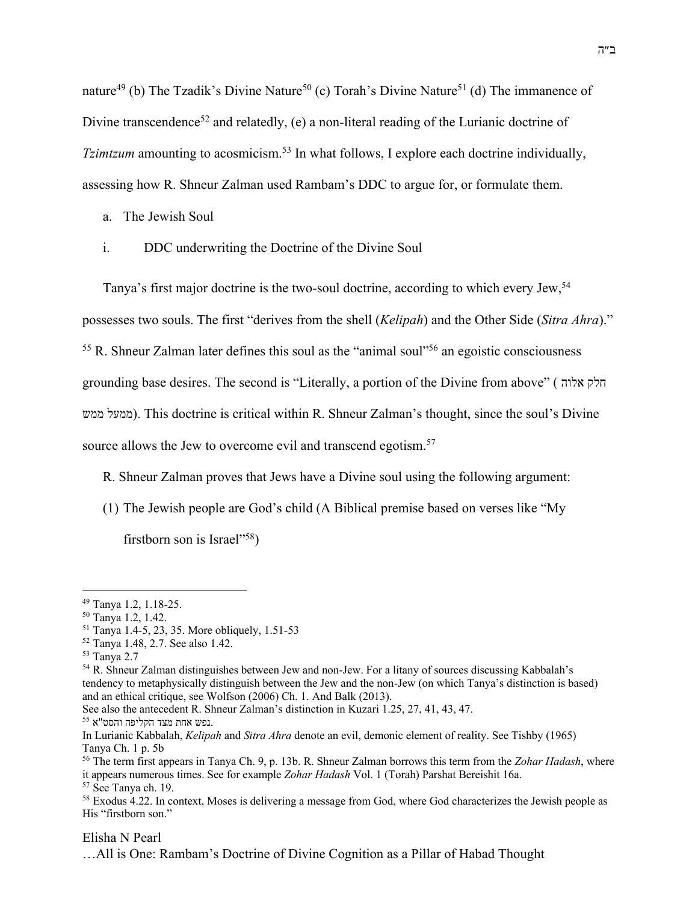nature<sup>49</sup> (b) The Tzadik's Divine Nature<sup>50</sup> (c) Torah's Divine Nature<sup>51</sup> (d) The immanence of Divine transcendence<sup>52</sup> and relatedly, (e) a non-literal reading of the Lurianic doctrine of *Tzimtzum* amounting to acosmicism.<sup>53</sup> In what follows, I explore each doctrine individually, assessing how R. Shneur Zalman used Rambam's DDC to argue for, or formulate them.

- a. The Jewish Soul
- i. DDC underwriting the Doctrine of the Divine Soul

Tanya's first major doctrine is the two-soul doctrine, according to which every Jew,54 possesses two souls. The first "derives from the shell (*Kelipah*) and the Other Side (*Sitra Ahra*)."  $55$  R. Shneur Zalman later defines this soul as the "animal soul"<sup>56</sup> an egoistic consciousness grounding base desires. The second is "Literally, a portion of the Divine from above" ( קלח הולא לעממ שממ( . This doctrine is critical within R. Shneur Zalman's thought, since the soul's Divine source allows the Jew to overcome evil and transcend egotism.<sup>57</sup>

R. Shneur Zalman proves that Jews have a Divine soul using the following argument:

(1) The Jewish people are God's child (A Biblical premise based on verses like "My

firstborn son is Israel"<sup>58</sup>)

Elisha N Pearl

<sup>49</sup> Tanya 1.2, 1.18-25.

<sup>50</sup> Tanya 1.2, 1.42.

<sup>51</sup> Tanya 1.4-5, 23, 35. More obliquely, 1.51-53

<sup>52</sup> Tanya 1.48, 2.7. See also 1.42.

<sup>53</sup> Tanya 2.7

<sup>54</sup> R. Shneur Zalman distinguishes between Jew and non-Jew. For a litany of sources discussing Kabbalah's tendency to metaphysically distinguish between the Jew and the non-Jew (on which Tanya's distinction is based) and an ethical critique, see Wolfson (2006) Ch. 1. And Balk (2013).

See also the antecedent R. Shneur Zalman's distinction in Kuzari 1.25, 27, 41, 43, 47. נפש אחת מצד הקליפה והסט"א.

In Lurianic Kabbalah, *Kelipah* and *Sitra Ahra* denote an evil, demonic element of reality. See Tishby (1965) Tanya Ch. 1 p. 5b

<sup>56</sup> The term first appears in Tanya Ch. 9, p. 13b. R. Shneur Zalman borrows this term from the *Zohar Hadash*, where it appears numerous times. See for example *Zohar Hadash* Vol. 1 (Torah) Parshat Bereishit 16a.

<sup>57</sup> See Tanya ch. 19.

<sup>58</sup> Exodus 4.22. In context, Moses is delivering a message from God, where God characterizes the Jewish people as His "firstborn son."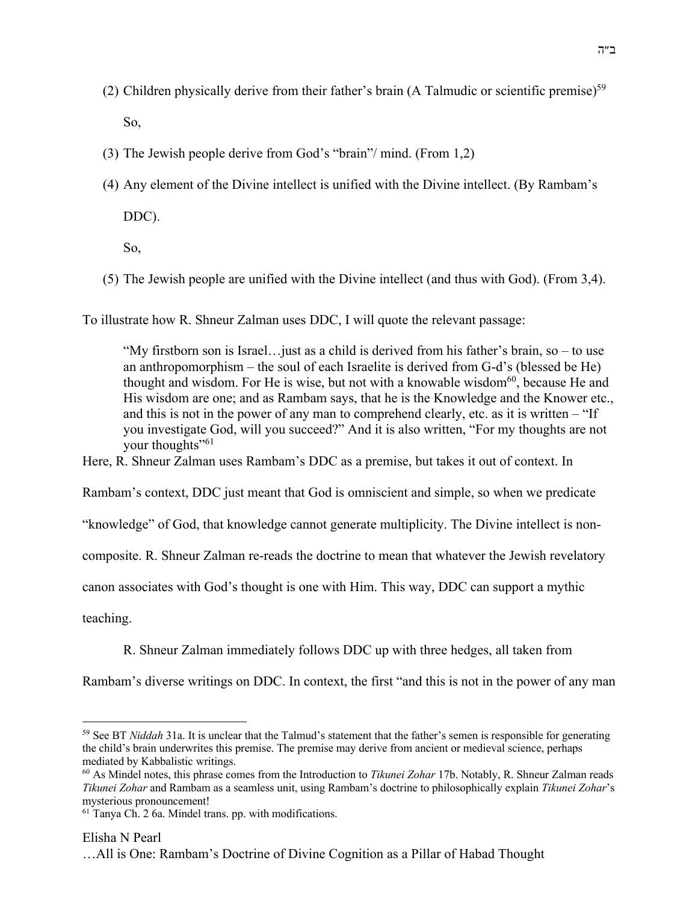- (2) Children physically derive from their father's brain (A Talmudic or scientific premise)<sup>59</sup> So,
- (3) The Jewish people derive from God's "brain"/ mind. (From 1,2)
- (4) Any element of the Divine intellect is unified with the Divine intellect. (By Rambam's

DDC).

So,

(5) The Jewish people are unified with the Divine intellect (and thus with God). (From 3,4).

To illustrate how R. Shneur Zalman uses DDC, I will quote the relevant passage:

"My firstborn son is Israel…just as a child is derived from his father's brain, so – to use an anthropomorphism – the soul of each Israelite is derived from G-d's (blessed be He) thought and wisdom. For He is wise, but not with a knowable wisdom $^{60}$ , because He and His wisdom are one; and as Rambam says, that he is the Knowledge and the Knower etc., and this is not in the power of any man to comprehend clearly, etc. as it is written – "If you investigate God, will you succeed?" And it is also written, "For my thoughts are not your thoughts"<sup>61</sup>

Here, R. Shneur Zalman uses Rambam's DDC as a premise, but takes it out of context. In

Rambam's context, DDC just meant that God is omniscient and simple, so when we predicate

"knowledge" of God, that knowledge cannot generate multiplicity. The Divine intellect is non-

composite. R. Shneur Zalman re-reads the doctrine to mean that whatever the Jewish revelatory

canon associates with God's thought is one with Him. This way, DDC can support a mythic

teaching.

R. Shneur Zalman immediately follows DDC up with three hedges, all taken from

Rambam's diverse writings on DDC. In context, the first "and this is not in the power of any man

<sup>59</sup> See BT *Niddah* 31a. It is unclear that the Talmud's statement that the father's semen is responsible for generating the child's brain underwrites this premise. The premise may derive from ancient or medieval science, perhaps mediated by Kabbalistic writings.

<sup>60</sup> As Mindel notes, this phrase comes from the Introduction to *Tikunei Zohar* 17b. Notably, R. Shneur Zalman reads *Tikunei Zohar* and Rambam as a seamless unit, using Rambam's doctrine to philosophically explain *Tikunei Zohar*'s mysterious pronouncement!

 $61$  Tanya Ch. 2 6a. Mindel trans. pp. with modifications.

Elisha N Pearl

<sup>…</sup>All is One: Rambam's Doctrine of Divine Cognition as a Pillar of Habad Thought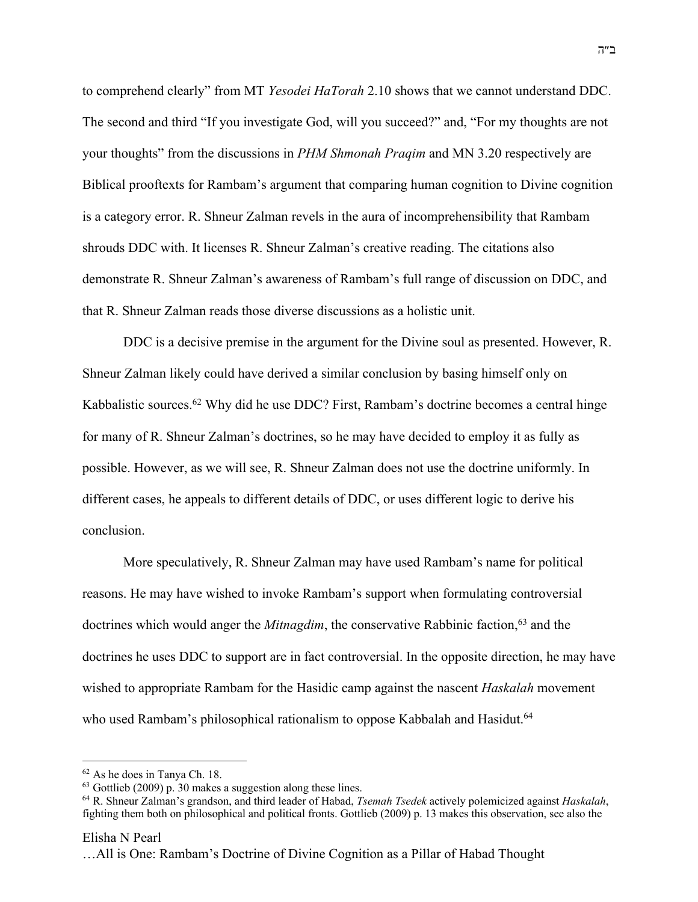to comprehend clearly" from MT *Yesodei HaTorah* 2.10 shows that we cannot understand DDC. The second and third "If you investigate God, will you succeed?" and, "For my thoughts are not your thoughts" from the discussions in *PHM Shmonah Praqim* and MN 3.20 respectively are Biblical prooftexts for Rambam's argument that comparing human cognition to Divine cognition is a category error. R. Shneur Zalman revels in the aura of incomprehensibility that Rambam shrouds DDC with. It licenses R. Shneur Zalman's creative reading. The citations also demonstrate R. Shneur Zalman's awareness of Rambam's full range of discussion on DDC, and that R. Shneur Zalman reads those diverse discussions as a holistic unit.

DDC is a decisive premise in the argument for the Divine soul as presented. However, R. Shneur Zalman likely could have derived a similar conclusion by basing himself only on Kabbalistic sources.<sup>62</sup> Why did he use DDC? First, Rambam's doctrine becomes a central hinge for many of R. Shneur Zalman's doctrines, so he may have decided to employ it as fully as possible. However, as we will see, R. Shneur Zalman does not use the doctrine uniformly. In different cases, he appeals to different details of DDC, or uses different logic to derive his conclusion.

More speculatively, R. Shneur Zalman may have used Rambam's name for political reasons. He may have wished to invoke Rambam's support when formulating controversial doctrines which would anger the *Mitnagdim*, the conservative Rabbinic faction,<sup>63</sup> and the doctrines he uses DDC to support are in fact controversial. In the opposite direction, he may have wished to appropriate Rambam for the Hasidic camp against the nascent *Haskalah* movement who used Rambam's philosophical rationalism to oppose Kabbalah and Hasidut.<sup>64</sup>

<sup>62</sup> As he does in Tanya Ch. 18.

<sup>63</sup> Gottlieb (2009) p. 30 makes a suggestion along these lines.

<sup>64</sup> R. Shneur Zalman's grandson, and third leader of Habad, *Tsemah Tsedek* actively polemicized against *Haskalah*, fighting them both on philosophical and political fronts. Gottlieb (2009) p. 13 makes this observation, see also the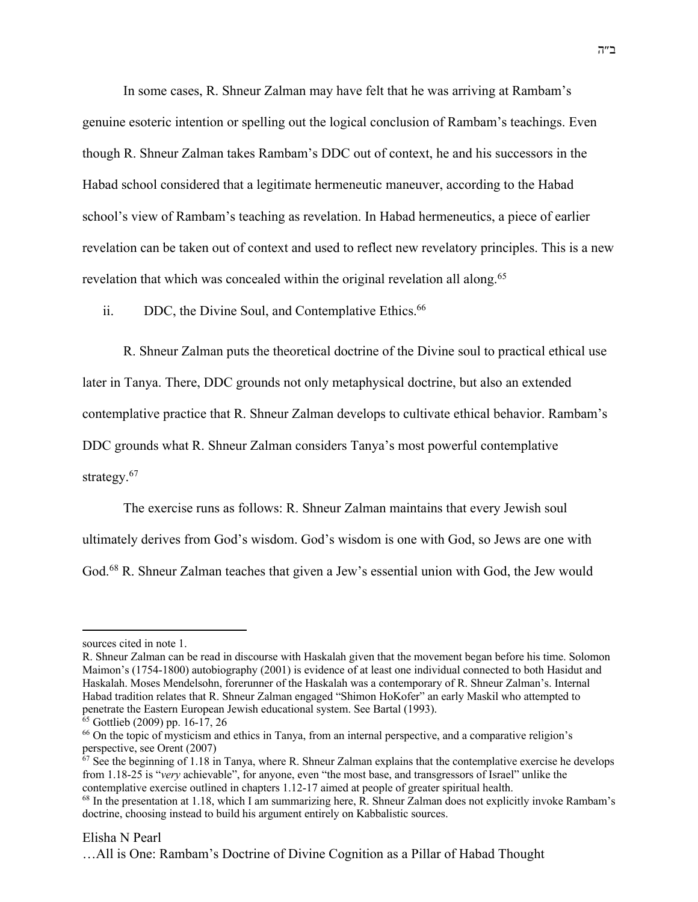In some cases, R. Shneur Zalman may have felt that he was arriving at Rambam's genuine esoteric intention or spelling out the logical conclusion of Rambam's teachings. Even though R. Shneur Zalman takes Rambam's DDC out of context, he and his successors in the Habad school considered that a legitimate hermeneutic maneuver, according to the Habad school's view of Rambam's teaching as revelation. In Habad hermeneutics, a piece of earlier revelation can be taken out of context and used to reflect new revelatory principles. This is a new revelation that which was concealed within the original revelation all along.<sup>65</sup>

ii. DDC, the Divine Soul, and Contemplative Ethics.<sup>66</sup>

R. Shneur Zalman puts the theoretical doctrine of the Divine soul to practical ethical use

later in Tanya. There, DDC grounds not only metaphysical doctrine, but also an extended

contemplative practice that R. Shneur Zalman develops to cultivate ethical behavior. Rambam's

DDC grounds what R. Shneur Zalman considers Tanya's most powerful contemplative

strategy.<sup>67</sup>

The exercise runs as follows: R. Shneur Zalman maintains that every Jewish soul

ultimately derives from God's wisdom. God's wisdom is one with God, so Jews are one with

God.<sup>68</sup> R. Shneur Zalman teaches that given a Jew's essential union with God, the Jew would

### Elisha N Pearl

sources cited in note 1.

R. Shneur Zalman can be read in discourse with Haskalah given that the movement began before his time. Solomon Maimon's (1754-1800) autobiography (2001) is evidence of at least one individual connected to both Hasidut and Haskalah. Moses Mendelsohn, forerunner of the Haskalah was a contemporary of R. Shneur Zalman's. Internal Habad tradition relates that R. Shneur Zalman engaged "Shimon HoKofer" an early Maskil who attempted to penetrate the Eastern European Jewish educational system. See Bartal (1993).

<sup>65</sup> Gottlieb (2009) pp. 16-17, 26

<sup>66</sup> On the topic of mysticism and ethics in Tanya, from an internal perspective, and a comparative religion's perspective, see Orent (2007)

 $67$  See the beginning of 1.18 in Tanya, where R. Shneur Zalman explains that the contemplative exercise he develops from 1.18-25 is "*very* achievable", for anyone, even "the most base, and transgressors of Israel" unlike the contemplative exercise outlined in chapters 1.12-17 aimed at people of greater spiritual health.

<sup>&</sup>lt;sup>68</sup> In the presentation at 1.18, which I am summarizing here, R. Shneur Zalman does not explicitly invoke Rambam's doctrine, choosing instead to build his argument entirely on Kabbalistic sources.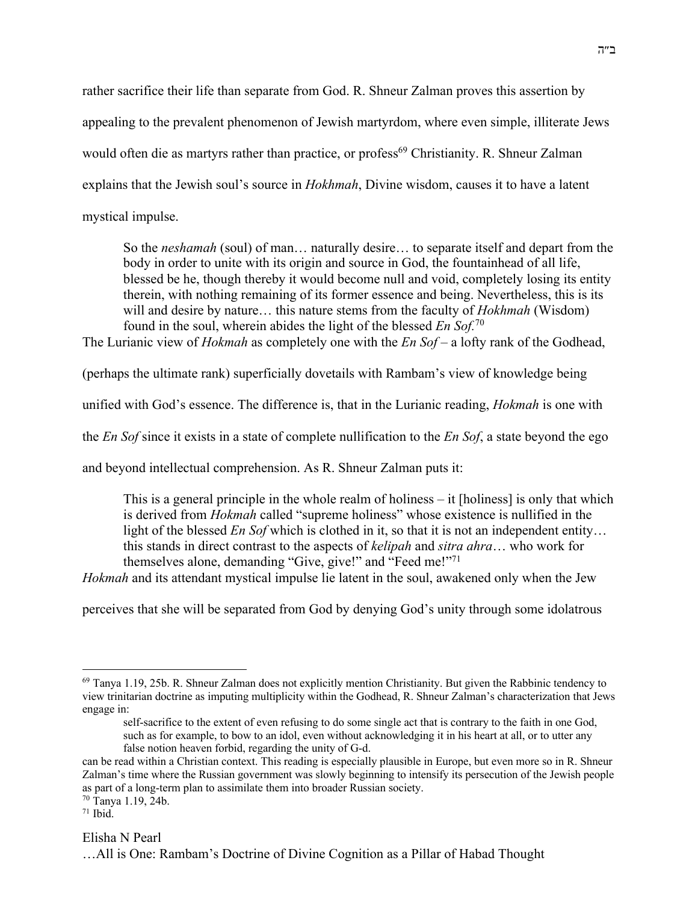rather sacrifice their life than separate from God. R. Shneur Zalman proves this assertion by appealing to the prevalent phenomenon of Jewish martyrdom, where even simple, illiterate Jews would often die as martyrs rather than practice, or profess<sup>69</sup> Christianity. R. Shneur Zalman explains that the Jewish soul's source in *Hokhmah*, Divine wisdom, causes it to have a latent mystical impulse.

So the *neshamah* (soul) of man… naturally desire… to separate itself and depart from the body in order to unite with its origin and source in God, the fountainhead of all life, blessed be he, though thereby it would become null and void, completely losing its entity therein, with nothing remaining of its former essence and being. Nevertheless, this is its will and desire by nature… this nature stems from the faculty of *Hokhmah* (Wisdom) found in the soul, wherein abides the light of the blessed *En Sof.*<sup>70</sup>

The Lurianic view of *Hokmah* as completely one with the *En Sof* – a lofty rank of the Godhead,

(perhaps the ultimate rank) superficially dovetails with Rambam's view of knowledge being

unified with God's essence. The difference is, that in the Lurianic reading, *Hokmah* is one with

the *En Sof* since it exists in a state of complete nullification to the *En Sof*, a state beyond the ego

and beyond intellectual comprehension. As R. Shneur Zalman puts it:

This is a general principle in the whole realm of holiness  $-$  it [holiness] is only that which is derived from *Hokmah* called "supreme holiness" whose existence is nullified in the light of the blessed *En Sof* which is clothed in it, so that it is not an independent entity… this stands in direct contrast to the aspects of *kelipah* and *sitra ahra*… who work for themselves alone, demanding "Give, give!" and "Feed me!"71

*Hokmah* and its attendant mystical impulse lie latent in the soul, awakened only when the Jew

perceives that she will be separated from God by denying God's unity through some idolatrous

 $71$  Ibid.

# Elisha N Pearl

<sup>69</sup> Tanya 1.19, 25b. R. Shneur Zalman does not explicitly mention Christianity. But given the Rabbinic tendency to view trinitarian doctrine as imputing multiplicity within the Godhead, R. Shneur Zalman's characterization that Jews engage in:

self-sacrifice to the extent of even refusing to do some single act that is contrary to the faith in one God, such as for example, to bow to an idol, even without acknowledging it in his heart at all, or to utter any false notion heaven forbid, regarding the unity of G-d.

can be read within a Christian context. This reading is especially plausible in Europe, but even more so in R. Shneur Zalman's time where the Russian government was slowly beginning to intensify its persecution of the Jewish people as part of a long-term plan to assimilate them into broader Russian society.

<sup>70</sup> Tanya 1.19, 24b.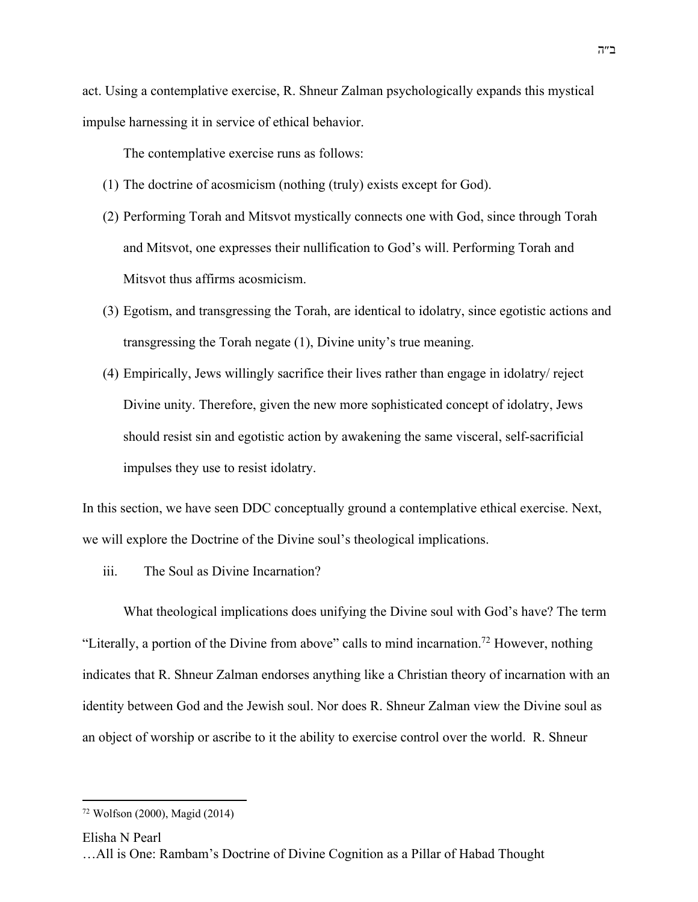act. Using a contemplative exercise, R. Shneur Zalman psychologically expands this mystical impulse harnessing it in service of ethical behavior.

The contemplative exercise runs as follows:

- (1) The doctrine of acosmicism (nothing (truly) exists except for God).
- (2) Performing Torah and Mitsvot mystically connects one with God, since through Torah and Mitsvot, one expresses their nullification to God's will. Performing Torah and Mitsvot thus affirms acosmicism.
- (3) Egotism, and transgressing the Torah, are identical to idolatry, since egotistic actions and transgressing the Torah negate (1), Divine unity's true meaning.
- (4) Empirically, Jews willingly sacrifice their lives rather than engage in idolatry/ reject Divine unity. Therefore, given the new more sophisticated concept of idolatry, Jews should resist sin and egotistic action by awakening the same visceral, self-sacrificial impulses they use to resist idolatry.

In this section, we have seen DDC conceptually ground a contemplative ethical exercise. Next, we will explore the Doctrine of the Divine soul's theological implications.

iii. The Soul as Divine Incarnation?

What theological implications does unifying the Divine soul with God's have? The term "Literally, a portion of the Divine from above" calls to mind incarnation.<sup>72</sup> However, nothing indicates that R. Shneur Zalman endorses anything like a Christian theory of incarnation with an identity between God and the Jewish soul. Nor does R. Shneur Zalman view the Divine soul as an object of worship or ascribe to it the ability to exercise control over the world. R. Shneur

Elisha N Pearl

<sup>72</sup> Wolfson (2000), Magid (2014)

<sup>…</sup>All is One: Rambam's Doctrine of Divine Cognition as a Pillar of Habad Thought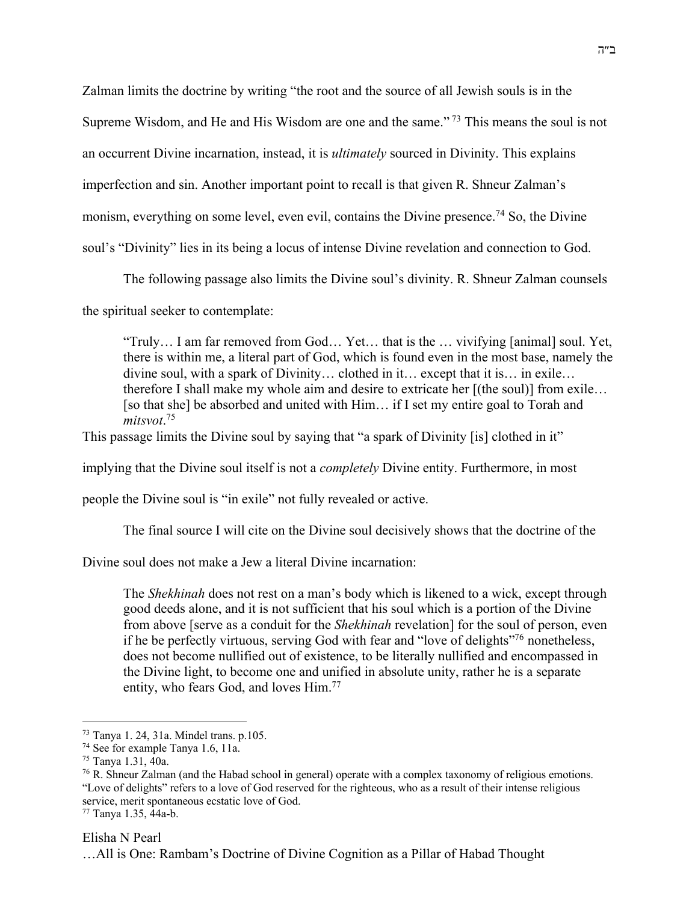Zalman limits the doctrine by writing "the root and the source of all Jewish souls is in the

Supreme Wisdom, and He and His Wisdom are one and the same." <sup>73</sup> This means the soul is not

an occurrent Divine incarnation, instead, it is *ultimately* sourced in Divinity. This explains

imperfection and sin. Another important point to recall is that given R. Shneur Zalman's

monism, everything on some level, even evil, contains the Divine presence.<sup>74</sup> So, the Divine

soul's "Divinity" lies in its being a locus of intense Divine revelation and connection to God.

The following passage also limits the Divine soul's divinity. R. Shneur Zalman counsels

the spiritual seeker to contemplate:

"Truly… I am far removed from God… Yet… that is the … vivifying [animal] soul. Yet, there is within me, a literal part of God, which is found even in the most base, namely the divine soul, with a spark of Divinity… clothed in it… except that it is… in exile… therefore I shall make my whole aim and desire to extricate her [(the soul)] from exile… [so that she] be absorbed and united with Him… if I set my entire goal to Torah and *mitsvot*. 75

This passage limits the Divine soul by saying that "a spark of Divinity [is] clothed in it"

implying that the Divine soul itself is not a *completely* Divine entity. Furthermore, in most

people the Divine soul is "in exile" not fully revealed or active.

The final source I will cite on the Divine soul decisively shows that the doctrine of the

Divine soul does not make a Jew a literal Divine incarnation:

The *Shekhinah* does not rest on a man's body which is likened to a wick, except through good deeds alone, and it is not sufficient that his soul which is a portion of the Divine from above [serve as a conduit for the *Shekhinah* revelation] for the soul of person, even if he be perfectly virtuous, serving God with fear and "love of delights"76 nonetheless, does not become nullified out of existence, to be literally nullified and encompassed in the Divine light, to become one and unified in absolute unity, rather he is a separate entity, who fears God, and loves Him.<sup>77</sup>

# Elisha N Pearl

<sup>73</sup> Tanya 1. 24, 31a. Mindel trans. p.105. 74 See for example Tanya 1.6, 11a.

<sup>75</sup> Tanya 1.31, 40a.

<sup>76</sup> R. Shneur Zalman (and the Habad school in general) operate with a complex taxonomy of religious emotions. "Love of delights" refers to a love of God reserved for the righteous, who as a result of their intense religious service, merit spontaneous ecstatic love of God.

<sup>77</sup> Tanya 1.35, 44a-b.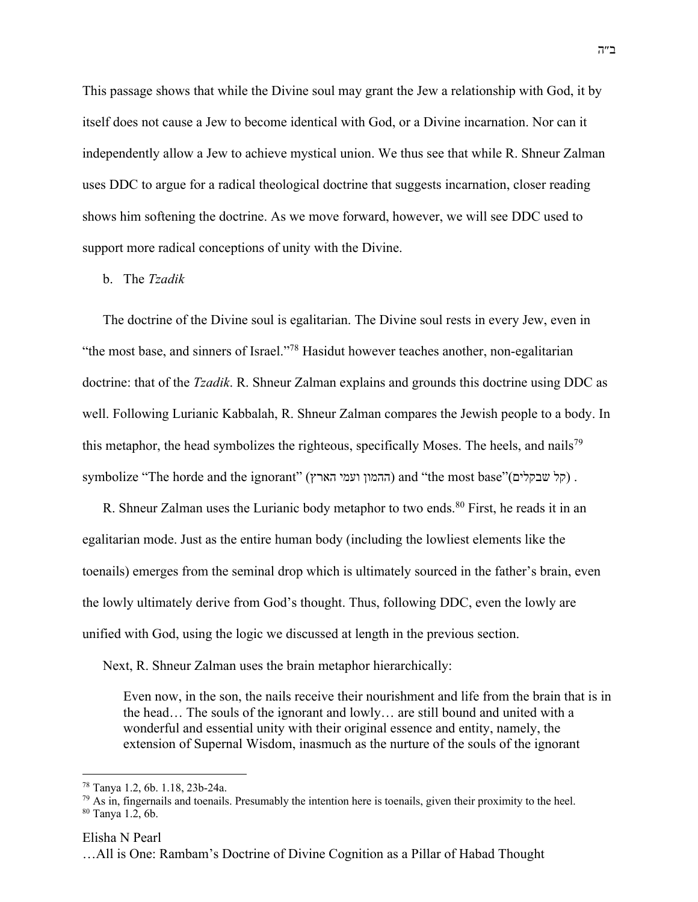This passage shows that while the Divine soul may grant the Jew a relationship with God, it by itself does not cause a Jew to become identical with God, or a Divine incarnation. Nor can it independently allow a Jew to achieve mystical union. We thus see that while R. Shneur Zalman uses DDC to argue for a radical theological doctrine that suggests incarnation, closer reading shows him softening the doctrine. As we move forward, however, we will see DDC used to support more radical conceptions of unity with the Divine.

## b. The *Tzadik*

The doctrine of the Divine soul is egalitarian. The Divine soul rests in every Jew, even in "the most base, and sinners of Israel."78 Hasidut however teaches another, non-egalitarian doctrine: that of the *Tzadik*. R. Shneur Zalman explains and grounds this doctrine using DDC as well. Following Lurianic Kabbalah, R. Shneur Zalman compares the Jewish people to a body. In this metaphor, the head symbolizes the righteous, specifically Moses. The heels, and nails<sup>79</sup> symbolize "The horde and the ignorant" (ההמון ועמי הארץ) and "the most base" (קל שבקלים).

R. Shneur Zalman uses the Lurianic body metaphor to two ends.<sup>80</sup> First, he reads it in an egalitarian mode. Just as the entire human body (including the lowliest elements like the toenails) emerges from the seminal drop which is ultimately sourced in the father's brain, even the lowly ultimately derive from God's thought. Thus, following DDC, even the lowly are unified with God, using the logic we discussed at length in the previous section.

Next, R. Shneur Zalman uses the brain metaphor hierarchically:

Even now, in the son, the nails receive their nourishment and life from the brain that is in the head… The souls of the ignorant and lowly… are still bound and united with a wonderful and essential unity with their original essence and entity, namely, the extension of Supernal Wisdom, inasmuch as the nurture of the souls of the ignorant

#### Elisha N Pearl

<sup>78</sup> Tanya 1.2, 6b. 1.18, 23b-24a.

 $79$  As in, fingernails and toenails. Presumably the intention here is toenails, given their proximity to the heel. <sup>80</sup> Tanya 1.2, 6b.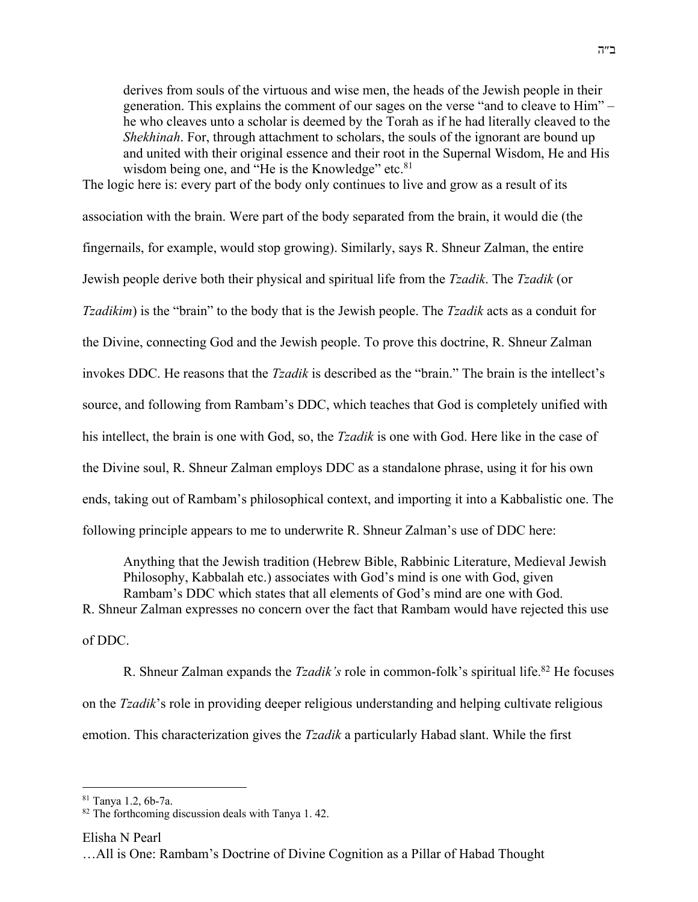derives from souls of the virtuous and wise men, the heads of the Jewish people in their generation. This explains the comment of our sages on the verse "and to cleave to Him" – he who cleaves unto a scholar is deemed by the Torah as if he had literally cleaved to the *Shekhinah*. For, through attachment to scholars, the souls of the ignorant are bound up and united with their original essence and their root in the Supernal Wisdom, He and His wisdom being one, and "He is the Knowledge" etc.<sup>81</sup>

The logic here is: every part of the body only continues to live and grow as a result of its association with the brain. Were part of the body separated from the brain, it would die (the fingernails, for example, would stop growing). Similarly, says R. Shneur Zalman, the entire Jewish people derive both their physical and spiritual life from the *Tzadik*. The *Tzadik* (or *Tzadikim*) is the "brain" to the body that is the Jewish people. The *Tzadik* acts as a conduit for the Divine, connecting God and the Jewish people. To prove this doctrine, R. Shneur Zalman invokes DDC. He reasons that the *Tzadik* is described as the "brain." The brain is the intellect's source, and following from Rambam's DDC, which teaches that God is completely unified with his intellect, the brain is one with God, so, the *Tzadik* is one with God. Here like in the case of the Divine soul, R. Shneur Zalman employs DDC as a standalone phrase, using it for his own ends, taking out of Rambam's philosophical context, and importing it into a Kabbalistic one. The following principle appears to me to underwrite R. Shneur Zalman's use of DDC here:

Anything that the Jewish tradition (Hebrew Bible, Rabbinic Literature, Medieval Jewish Philosophy, Kabbalah etc.) associates with God's mind is one with God, given Rambam's DDC which states that all elements of God's mind are one with God. R. Shneur Zalman expresses no concern over the fact that Rambam would have rejected this use of DDC.

R. Shneur Zalman expands the *Tzadik's* role in common-folk's spiritual life.82 He focuses on the *Tzadik*'s role in providing deeper religious understanding and helping cultivate religious emotion. This characterization gives the *Tzadik* a particularly Habad slant. While the first

<sup>81</sup> Tanya 1.2, 6b-7a.

<sup>&</sup>lt;sup>82</sup> The forthcoming discussion deals with Tanya 1.42.

Elisha N Pearl

<sup>…</sup>All is One: Rambam's Doctrine of Divine Cognition as a Pillar of Habad Thought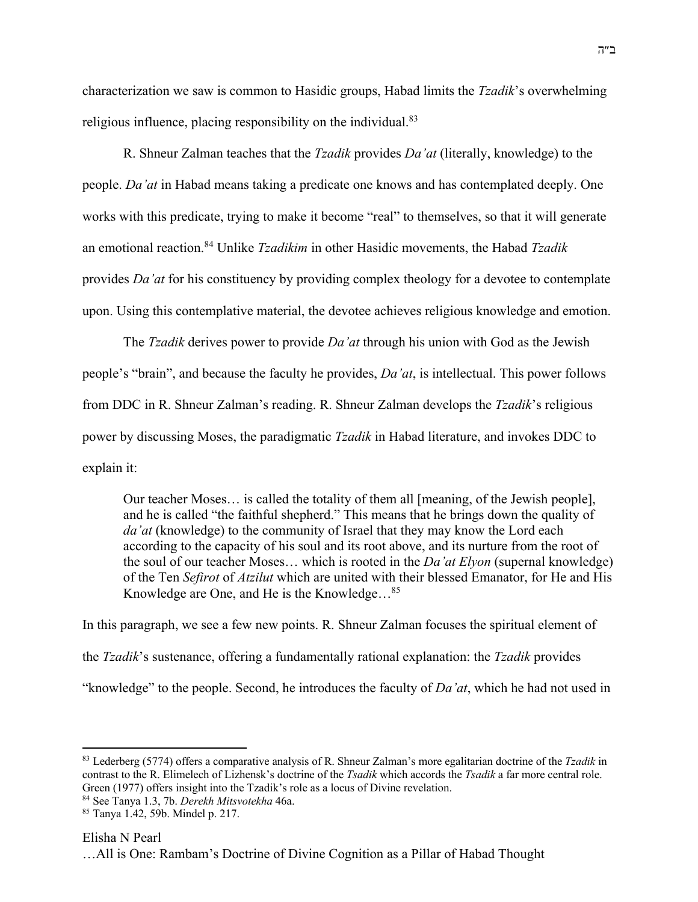characterization we saw is common to Hasidic groups, Habad limits the *Tzadik*'s overwhelming religious influence, placing responsibility on the individual.<sup>83</sup>

R. Shneur Zalman teaches that the *Tzadik* provides *Da'at* (literally, knowledge) to the people. *Da'at* in Habad means taking a predicate one knows and has contemplated deeply. One works with this predicate, trying to make it become "real" to themselves, so that it will generate an emotional reaction.84 Unlike *Tzadikim* in other Hasidic movements, the Habad *Tzadik* provides *Da'at* for his constituency by providing complex theology for a devotee to contemplate upon. Using this contemplative material, the devotee achieves religious knowledge and emotion.

The *Tzadik* derives power to provide *Da'at* through his union with God as the Jewish people's "brain", and because the faculty he provides, *Da'at*, is intellectual. This power follows from DDC in R. Shneur Zalman's reading. R. Shneur Zalman develops the *Tzadik*'s religious power by discussing Moses, the paradigmatic *Tzadik* in Habad literature, and invokes DDC to explain it:

Our teacher Moses… is called the totality of them all [meaning, of the Jewish people], and he is called "the faithful shepherd." This means that he brings down the quality of *da'at* (knowledge) to the community of Israel that they may know the Lord each according to the capacity of his soul and its root above, and its nurture from the root of the soul of our teacher Moses… which is rooted in the *Da'at Elyon* (supernal knowledge) of the Ten *Sefirot* of *Atzilut* which are united with their blessed Emanator, for He and His Knowledge are One, and He is the Knowledge…85

In this paragraph, we see a few new points. R. Shneur Zalman focuses the spiritual element of the *Tzadik*'s sustenance, offering a fundamentally rational explanation: the *Tzadik* provides "knowledge" to the people. Second, he introduces the faculty of *Da'at*, which he had not used in

<sup>83</sup> Lederberg (5774) offers a comparative analysis of R. Shneur Zalman's more egalitarian doctrine of the *Tzadik* in contrast to the R. Elimelech of Lizhensk's doctrine of the *Tsadik* which accords the *Tsadik* a far more central role. Green (1977) offers insight into the Tzadik's role as a locus of Divine revelation.

<sup>84</sup> See Tanya 1.3, 7b. *Derekh Mitsvotekha* 46a.

<sup>85</sup> Tanya 1.42, 59b. Mindel p. 217.

<sup>…</sup>All is One: Rambam's Doctrine of Divine Cognition as a Pillar of Habad Thought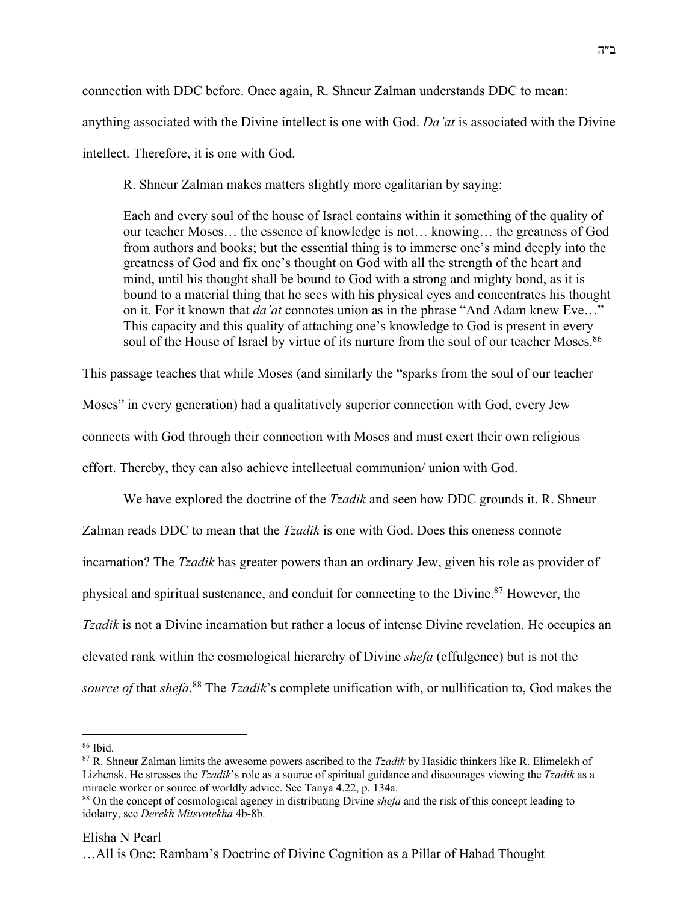connection with DDC before. Once again, R. Shneur Zalman understands DDC to mean: anything associated with the Divine intellect is one with God. *Da'at* is associated with the Divine intellect. Therefore, it is one with God.

R. Shneur Zalman makes matters slightly more egalitarian by saying:

Each and every soul of the house of Israel contains within it something of the quality of our teacher Moses… the essence of knowledge is not… knowing… the greatness of God from authors and books; but the essential thing is to immerse one's mind deeply into the greatness of God and fix one's thought on God with all the strength of the heart and mind, until his thought shall be bound to God with a strong and mighty bond, as it is bound to a material thing that he sees with his physical eyes and concentrates his thought on it. For it known that *da'at* connotes union as in the phrase "And Adam knew Eve…" This capacity and this quality of attaching one's knowledge to God is present in every soul of the House of Israel by virtue of its nurture from the soul of our teacher Moses.<sup>86</sup>

This passage teaches that while Moses (and similarly the "sparks from the soul of our teacher

Moses" in every generation) had a qualitatively superior connection with God, every Jew

connects with God through their connection with Moses and must exert their own religious

effort. Thereby, they can also achieve intellectual communion/ union with God.

We have explored the doctrine of the *Tzadik* and seen how DDC grounds it. R. Shneur Zalman reads DDC to mean that the *Tzadik* is one with God. Does this oneness connote incarnation? The *Tzadik* has greater powers than an ordinary Jew, given his role as provider of physical and spiritual sustenance, and conduit for connecting to the Divine.87 However, the *Tzadik* is not a Divine incarnation but rather a locus of intense Divine revelation. He occupies an elevated rank within the cosmological hierarchy of Divine *shefa* (effulgence) but is not the *source of* that *shefa*. <sup>88</sup> The *Tzadik*'s complete unification with, or nullification to, God makes the

## Elisha N Pearl

<sup>86</sup> Ibid.

<sup>87</sup> R. Shneur Zalman limits the awesome powers ascribed to the *Tzadik* by Hasidic thinkers like R. Elimelekh of Lizhensk. He stresses the *Tzadik*'s role as a source of spiritual guidance and discourages viewing the *Tzadik* as a miracle worker or source of worldly advice. See Tanya 4.22, p. 134a.

<sup>88</sup> On the concept of cosmological agency in distributing Divine *shefa* and the risk of this concept leading to idolatry, see *Derekh Mitsvotekha* 4b-8b.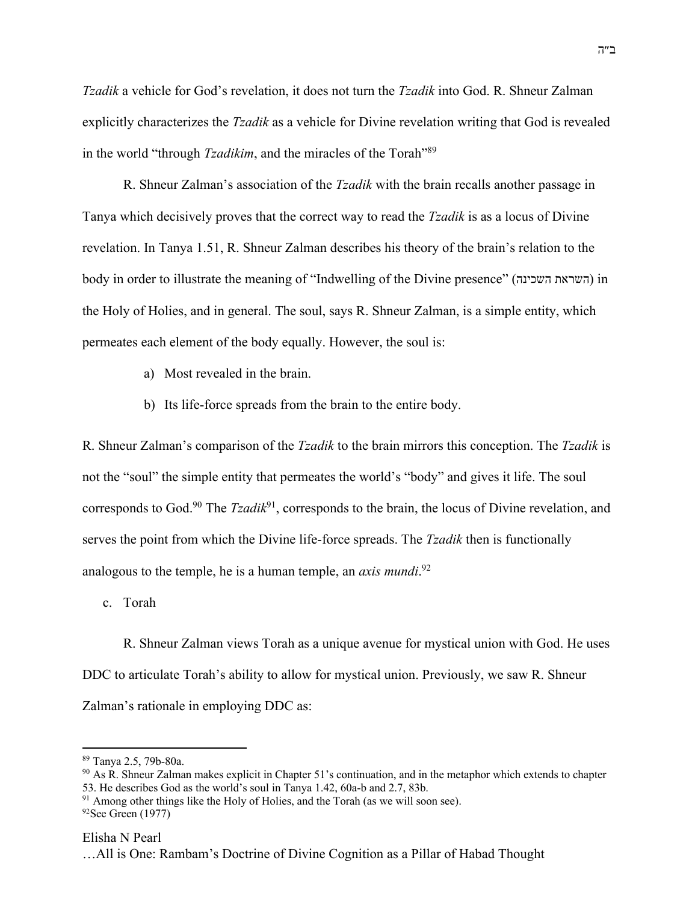*Tzadik* a vehicle for God's revelation, it does not turn the *Tzadik* into God. R. Shneur Zalman explicitly characterizes the *Tzadik* as a vehicle for Divine revelation writing that God is revealed in the world "through *Tzadikim*, and the miracles of the Torah"89

R. Shneur Zalman's association of the *Tzadik* with the brain recalls another passage in Tanya which decisively proves that the correct way to read the *Tzadik* is as a locus of Divine revelation. In Tanya 1.51, R. Shneur Zalman describes his theory of the brain's relation to the body in order to illustrate the meaning of "Indwelling of the Divine presence" ( תארשה הניכשה ( in the Holy of Holies, and in general. The soul, says R. Shneur Zalman, is a simple entity, which permeates each element of the body equally. However, the soul is:

- a) Most revealed in the brain.
- b) Its life-force spreads from the brain to the entire body.

R. Shneur Zalman's comparison of the *Tzadik* to the brain mirrors this conception. The *Tzadik* is not the "soul" the simple entity that permeates the world's "body" and gives it life. The soul corresponds to God.<sup>90</sup> The *Tzadik*<sup>91</sup>, corresponds to the brain, the locus of Divine revelation, and serves the point from which the Divine life-force spreads. The *Tzadik* then is functionally analogous to the temple, he is a human temple, an *axis mundi*. 92

c. Torah

R. Shneur Zalman views Torah as a unique avenue for mystical union with God. He uses DDC to articulate Torah's ability to allow for mystical union. Previously, we saw R. Shneur Zalman's rationale in employing DDC as:

<sup>89</sup> Tanya 2.5, 79b-80a.

 $90$  As R. Shneur Zalman makes explicit in Chapter 51's continuation, and in the metaphor which extends to chapter 53. He describes God as the world's soul in Tanya 1.42, 60a-b and 2.7, 83b. 91 Among other things like the Holy of Holies, and the Torah (as we will soon see).

 $92$ See Green (1977)

<sup>…</sup>All is One: Rambam's Doctrine of Divine Cognition as a Pillar of Habad Thought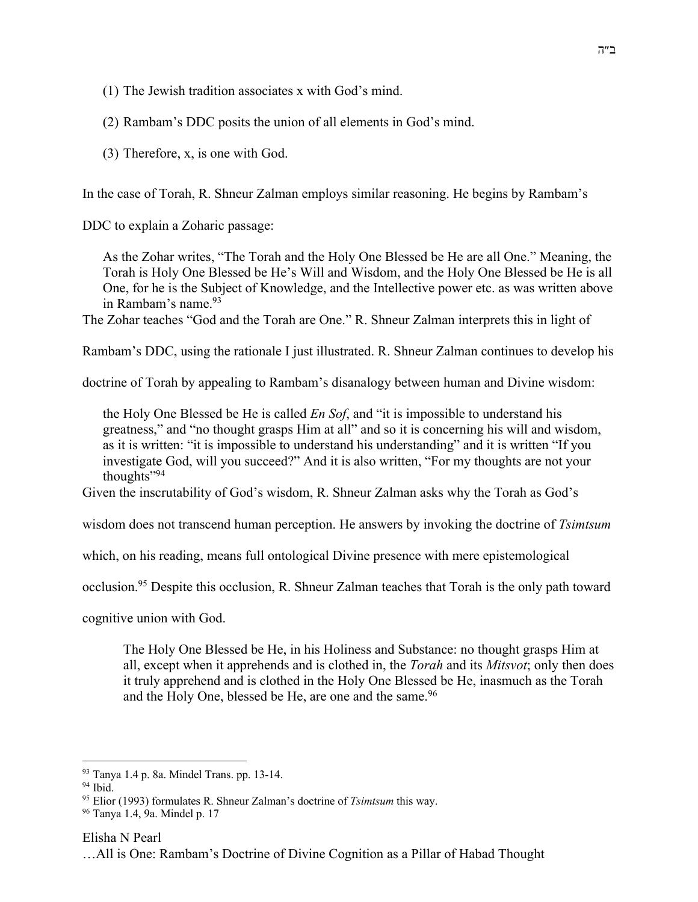(1) The Jewish tradition associates x with God's mind.

(2) Rambam's DDC posits the union of all elements in God's mind.

(3) Therefore, x, is one with God.

In the case of Torah, R. Shneur Zalman employs similar reasoning. He begins by Rambam's

DDC to explain a Zoharic passage:

As the Zohar writes, "The Torah and the Holy One Blessed be He are all One." Meaning, the Torah is Holy One Blessed be He's Will and Wisdom, and the Holy One Blessed be He is all One, for he is the Subject of Knowledge, and the Intellective power etc. as was written above in Rambam's name.93

The Zohar teaches "God and the Torah are One." R. Shneur Zalman interprets this in light of

Rambam's DDC, using the rationale I just illustrated. R. Shneur Zalman continues to develop his

doctrine of Torah by appealing to Rambam's disanalogy between human and Divine wisdom:

the Holy One Blessed be He is called *En Sof*, and "it is impossible to understand his greatness," and "no thought grasps Him at all" and so it is concerning his will and wisdom, as it is written: "it is impossible to understand his understanding" and it is written "If you investigate God, will you succeed?" And it is also written, "For my thoughts are not your thoughts",94

Given the inscrutability of God's wisdom, R. Shneur Zalman asks why the Torah as God's

wisdom does not transcend human perception. He answers by invoking the doctrine of *Tsimtsum*

which, on his reading, means full ontological Divine presence with mere epistemological

occlusion.95 Despite this occlusion, R. Shneur Zalman teaches that Torah is the only path toward

cognitive union with God.

The Holy One Blessed be He, in his Holiness and Substance: no thought grasps Him at all, except when it apprehends and is clothed in, the *Torah* and its *Mitsvot*; only then does it truly apprehend and is clothed in the Holy One Blessed be He, inasmuch as the Torah and the Holy One, blessed be He, are one and the same.<sup>96</sup>

Elisha N Pearl

<sup>93</sup> Tanya 1.4 p. 8a. Mindel Trans. pp. 13-14.

<sup>94</sup> Ibid.

<sup>95</sup> Elior (1993) formulates R. Shneur Zalman's doctrine of *Tsimtsum* this way.

<sup>96</sup> Tanya 1.4, 9a. Mindel p. 17

<sup>…</sup>All is One: Rambam's Doctrine of Divine Cognition as a Pillar of Habad Thought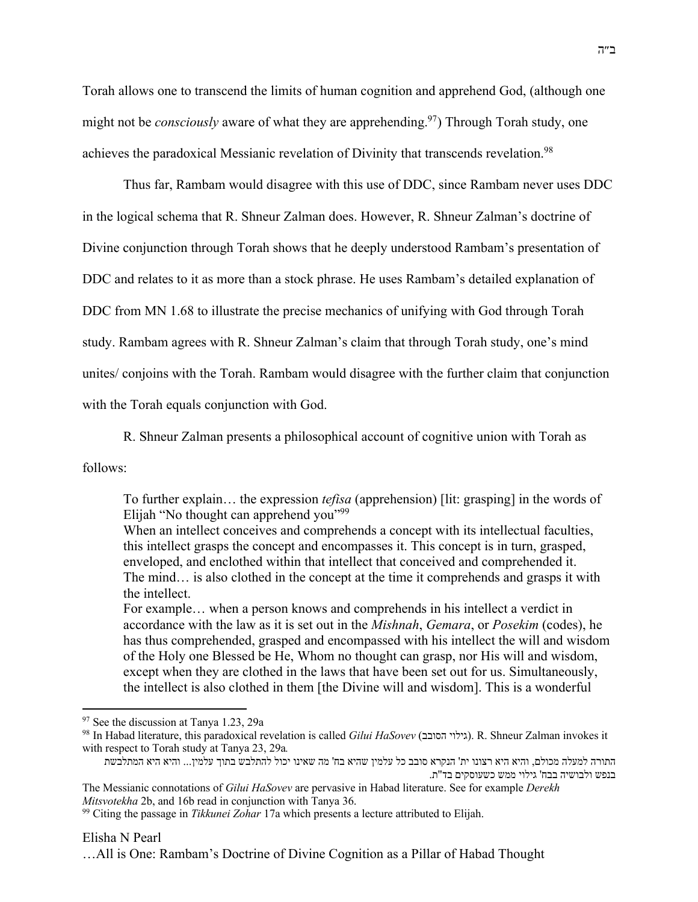Torah allows one to transcend the limits of human cognition and apprehend God, (although one might not be *consciously* aware of what they are apprehending.<sup>97</sup>) Through Torah study, one achieves the paradoxical Messianic revelation of Divinity that transcends revelation.<sup>98</sup>

Thus far, Rambam would disagree with this use of DDC, since Rambam never uses DDC in the logical schema that R. Shneur Zalman does. However, R. Shneur Zalman's doctrine of Divine conjunction through Torah shows that he deeply understood Rambam's presentation of DDC and relates to it as more than a stock phrase. He uses Rambam's detailed explanation of DDC from MN 1.68 to illustrate the precise mechanics of unifying with God through Torah study. Rambam agrees with R. Shneur Zalman's claim that through Torah study, one's mind unites/ conjoins with the Torah. Rambam would disagree with the further claim that conjunction with the Torah equals conjunction with God.

R. Shneur Zalman presents a philosophical account of cognitive union with Torah as

follows:

To further explain… the expression *tefisa* (apprehension) [lit: grasping] in the words of Elijah "No thought can apprehend you"99

When an intellect conceives and comprehends a concept with its intellectual faculties, this intellect grasps the concept and encompasses it. This concept is in turn, grasped, enveloped, and enclothed within that intellect that conceived and comprehended it. The mind… is also clothed in the concept at the time it comprehends and grasps it with the intellect.

For example… when a person knows and comprehends in his intellect a verdict in accordance with the law as it is set out in the *Mishnah*, *Gemara*, or *Posekim* (codes), he has thus comprehended, grasped and encompassed with his intellect the will and wisdom of the Holy one Blessed be He, Whom no thought can grasp, nor His will and wisdom, except when they are clothed in the laws that have been set out for us. Simultaneously, the intellect is also clothed in them [the Divine will and wisdom]. This is a wonderful

<sup>97</sup> See the discussion at Tanya 1.23, 29a

<sup>98</sup> In Habad literature, this paradoxical revelation is called *Gilui HaSovev* ( יוליג בבוסה( . R. Shneur Zalman invokes it with respect to Torah study at Tanya 23, 29a*.*

התורה למעלה מכולם, והיא היא רצונו ית' הנקרא סובב כל עלמין שהיא בח' מה שאינו יכול להתלבש בתוך עלמין... והיא היא המתלבשת בנפש ולבושיה בבח' גילוי ממש כשעוסקים בד"ת.

The Messianic connotations of *Gilui HaSovev* are pervasive in Habad literature. See for example *Derekh Mitsvotekha* 2b, and 16b read in conjunction with Tanya 36.

<sup>99</sup> Citing the passage in *Tikkunei Zohar* 17a which presents a lecture attributed to Elijah.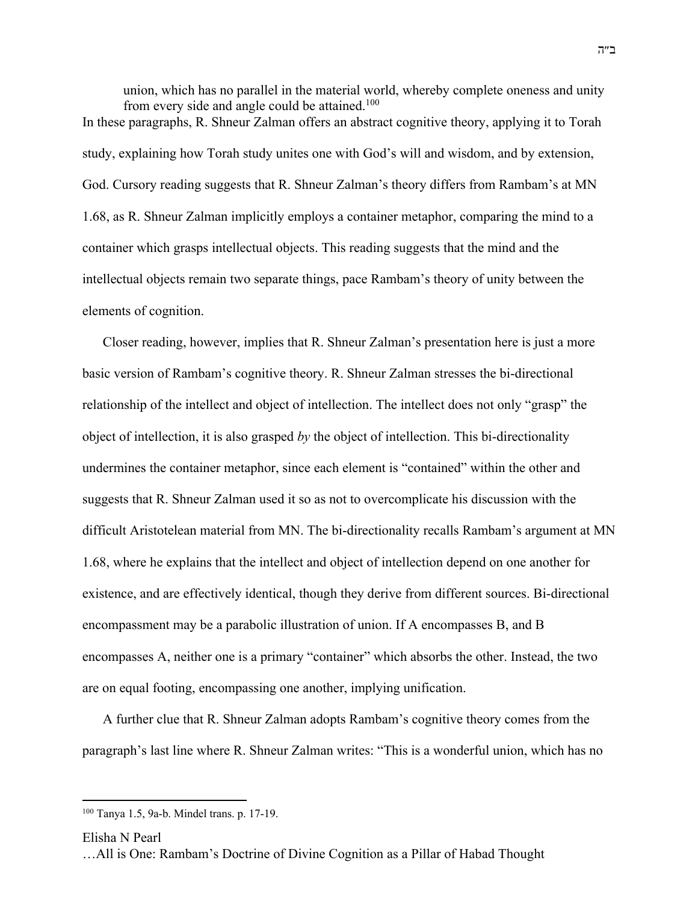union, which has no parallel in the material world, whereby complete oneness and unity from every side and angle could be attained.<sup>100</sup> In these paragraphs, R. Shneur Zalman offers an abstract cognitive theory, applying it to Torah study, explaining how Torah study unites one with God's will and wisdom, and by extension, God. Cursory reading suggests that R. Shneur Zalman's theory differs from Rambam's at MN 1.68, as R. Shneur Zalman implicitly employs a container metaphor, comparing the mind to a container which grasps intellectual objects. This reading suggests that the mind and the intellectual objects remain two separate things, pace Rambam's theory of unity between the elements of cognition.

Closer reading, however, implies that R. Shneur Zalman's presentation here is just a more basic version of Rambam's cognitive theory. R. Shneur Zalman stresses the bi-directional relationship of the intellect and object of intellection. The intellect does not only "grasp" the object of intellection, it is also grasped *by* the object of intellection. This bi-directionality undermines the container metaphor, since each element is "contained" within the other and suggests that R. Shneur Zalman used it so as not to overcomplicate his discussion with the difficult Aristotelean material from MN. The bi-directionality recalls Rambam's argument at MN 1.68, where he explains that the intellect and object of intellection depend on one another for existence, and are effectively identical, though they derive from different sources. Bi-directional encompassment may be a parabolic illustration of union. If A encompasses B, and B encompasses A, neither one is a primary "container" which absorbs the other. Instead, the two are on equal footing, encompassing one another, implying unification.

A further clue that R. Shneur Zalman adopts Rambam's cognitive theory comes from the paragraph's last line where R. Shneur Zalman writes: "This is a wonderful union, which has no

Elisha N Pearl

<sup>100</sup> Tanya 1.5, 9a-b. Mindel trans. p. 17-19.

<sup>…</sup>All is One: Rambam's Doctrine of Divine Cognition as a Pillar of Habad Thought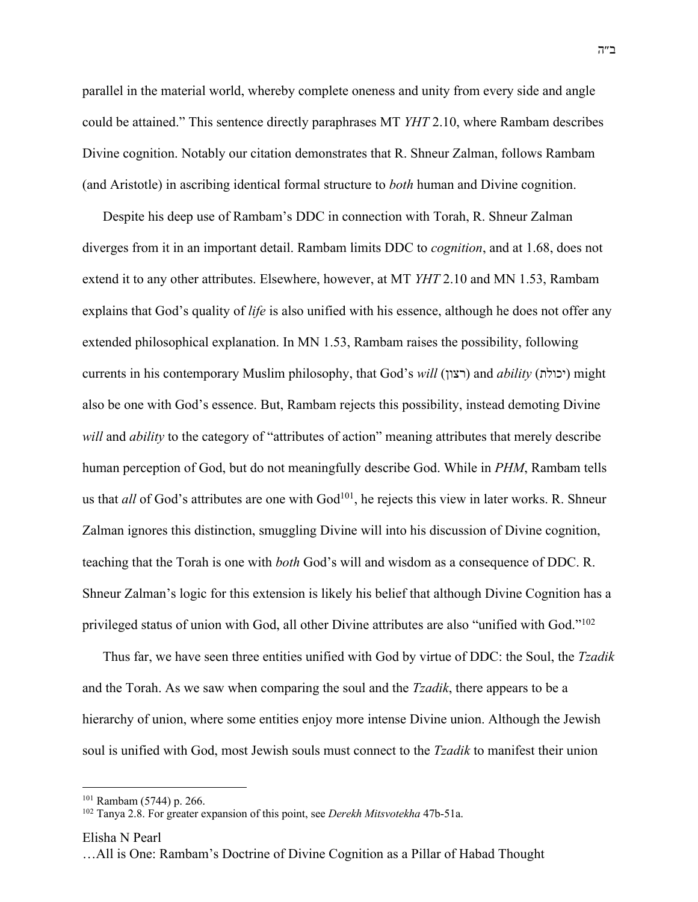parallel in the material world, whereby complete oneness and unity from every side and angle could be attained." This sentence directly paraphrases MT *YHT* 2.10, where Rambam describes Divine cognition. Notably our citation demonstrates that R. Shneur Zalman, follows Rambam (and Aristotle) in ascribing identical formal structure to *both* human and Divine cognition.

Despite his deep use of Rambam's DDC in connection with Torah, R. Shneur Zalman diverges from it in an important detail. Rambam limits DDC to *cognition*, and at 1.68, does not extend it to any other attributes. Elsewhere, however, at MT *YHT* 2.10 and MN 1.53, Rambam explains that God's quality of *life* is also unified with his essence, although he does not offer any extended philosophical explanation. In MN 1.53, Rambam raises the possibility, following currents in his contemporary Muslim philosophy, that God's *will* (רצון) and *ability* (יכולת) might also be one with God's essence. But, Rambam rejects this possibility, instead demoting Divine *will* and *ability* to the category of "attributes of action" meaning attributes that merely describe human perception of God, but do not meaningfully describe God. While in *PHM*, Rambam tells us that *all* of God's attributes are one with God<sup>101</sup>, he rejects this view in later works. R. Shneur Zalman ignores this distinction, smuggling Divine will into his discussion of Divine cognition, teaching that the Torah is one with *both* God's will and wisdom as a consequence of DDC. R. Shneur Zalman's logic for this extension is likely his belief that although Divine Cognition has a privileged status of union with God, all other Divine attributes are also "unified with God."<sup>102</sup>

Thus far, we have seen three entities unified with God by virtue of DDC: the Soul, the *Tzadik* and the Torah. As we saw when comparing the soul and the *Tzadik*, there appears to be a hierarchy of union, where some entities enjoy more intense Divine union. Although the Jewish soul is unified with God, most Jewish souls must connect to the *Tzadik* to manifest their union

Elisha N Pearl

<sup>101</sup> Rambam (5744) p. 266.

<sup>102</sup> Tanya 2.8. For greater expansion of this point, see *Derekh Mitsvotekha* 47b-51a.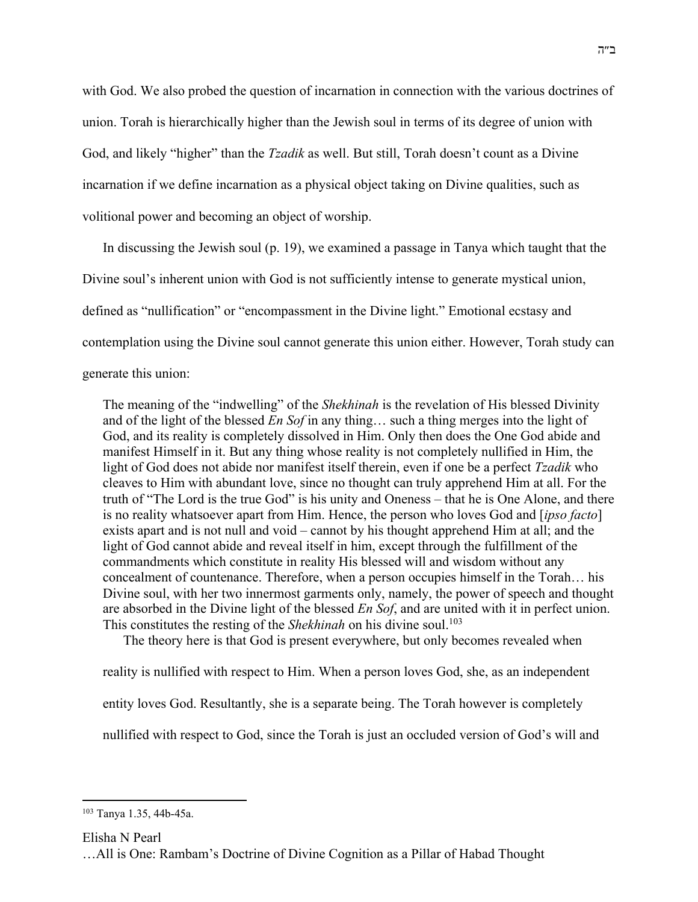with God. We also probed the question of incarnation in connection with the various doctrines of union. Torah is hierarchically higher than the Jewish soul in terms of its degree of union with God, and likely "higher" than the *Tzadik* as well. But still, Torah doesn't count as a Divine incarnation if we define incarnation as a physical object taking on Divine qualities, such as volitional power and becoming an object of worship.

In discussing the Jewish soul (p. 19), we examined a passage in Tanya which taught that the Divine soul's inherent union with God is not sufficiently intense to generate mystical union, defined as "nullification" or "encompassment in the Divine light." Emotional ecstasy and contemplation using the Divine soul cannot generate this union either. However, Torah study can generate this union:

The meaning of the "indwelling" of the *Shekhinah* is the revelation of His blessed Divinity and of the light of the blessed *En Sof* in any thing… such a thing merges into the light of God, and its reality is completely dissolved in Him. Only then does the One God abide and manifest Himself in it. But any thing whose reality is not completely nullified in Him, the light of God does not abide nor manifest itself therein, even if one be a perfect *Tzadik* who cleaves to Him with abundant love, since no thought can truly apprehend Him at all. For the truth of "The Lord is the true God" is his unity and Oneness – that he is One Alone, and there is no reality whatsoever apart from Him. Hence, the person who loves God and [*ipso facto*] exists apart and is not null and void – cannot by his thought apprehend Him at all; and the light of God cannot abide and reveal itself in him, except through the fulfillment of the commandments which constitute in reality His blessed will and wisdom without any concealment of countenance. Therefore, when a person occupies himself in the Torah… his Divine soul, with her two innermost garments only, namely, the power of speech and thought are absorbed in the Divine light of the blessed *En Sof*, and are united with it in perfect union. This constitutes the resting of the *Shekhinah* on his divine soul.<sup>103</sup>

The theory here is that God is present everywhere, but only becomes revealed when

reality is nullified with respect to Him. When a person loves God, she, as an independent

entity loves God. Resultantly, she is a separate being. The Torah however is completely

nullified with respect to God, since the Torah is just an occluded version of God's will and

Elisha N Pearl

<sup>103</sup> Tanya 1.35, 44b-45a.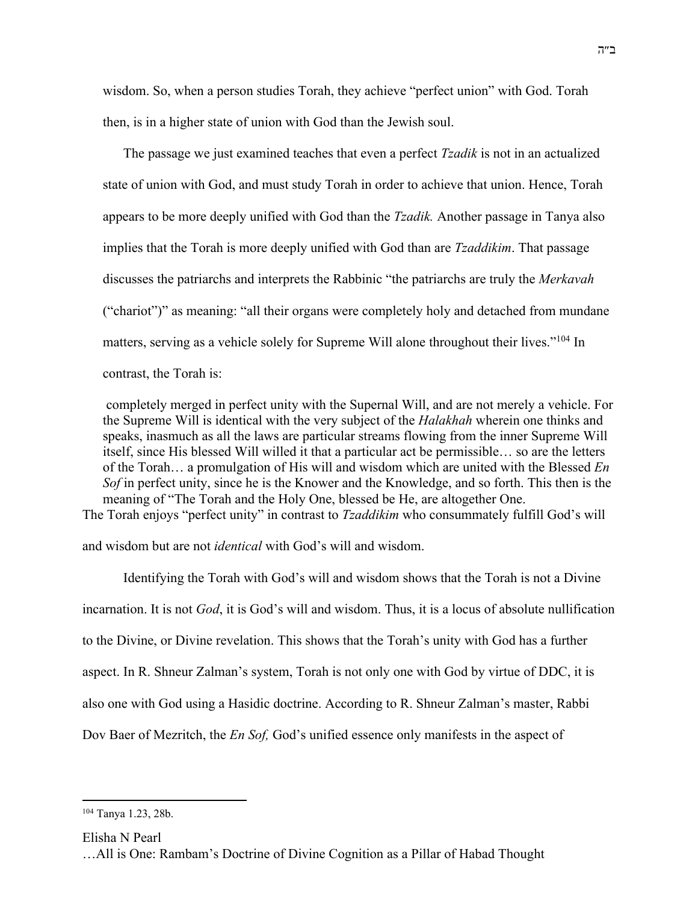wisdom. So, when a person studies Torah, they achieve "perfect union" with God. Torah then, is in a higher state of union with God than the Jewish soul.

The passage we just examined teaches that even a perfect *Tzadik* is not in an actualized state of union with God, and must study Torah in order to achieve that union. Hence, Torah appears to be more deeply unified with God than the *Tzadik.* Another passage in Tanya also implies that the Torah is more deeply unified with God than are *Tzaddikim*. That passage discusses the patriarchs and interprets the Rabbinic "the patriarchs are truly the *Merkavah* ("chariot")" as meaning: "all their organs were completely holy and detached from mundane matters, serving as a vehicle solely for Supreme Will alone throughout their lives."104 In contrast, the Torah is:

completely merged in perfect unity with the Supernal Will, and are not merely a vehicle. For the Supreme Will is identical with the very subject of the *Halakhah* wherein one thinks and speaks, inasmuch as all the laws are particular streams flowing from the inner Supreme Will itself, since His blessed Will willed it that a particular act be permissible… so are the letters of the Torah… a promulgation of His will and wisdom which are united with the Blessed *En Sof* in perfect unity, since he is the Knower and the Knowledge, and so forth. This then is the meaning of "The Torah and the Holy One, blessed be He, are altogether One. The Torah enjoys "perfect unity" in contrast to *Tzaddikim* who consummately fulfill God's will

and wisdom but are not *identical* with God's will and wisdom.

Identifying the Torah with God's will and wisdom shows that the Torah is not a Divine incarnation. It is not *God*, it is God's will and wisdom. Thus, it is a locus of absolute nullification to the Divine, or Divine revelation. This shows that the Torah's unity with God has a further aspect. In R. Shneur Zalman's system, Torah is not only one with God by virtue of DDC, it is also one with God using a Hasidic doctrine. According to R. Shneur Zalman's master, Rabbi Dov Baer of Mezritch, the *En Sof,* God's unified essence only manifests in the aspect of

<sup>104</sup> Tanya 1.23, 28b.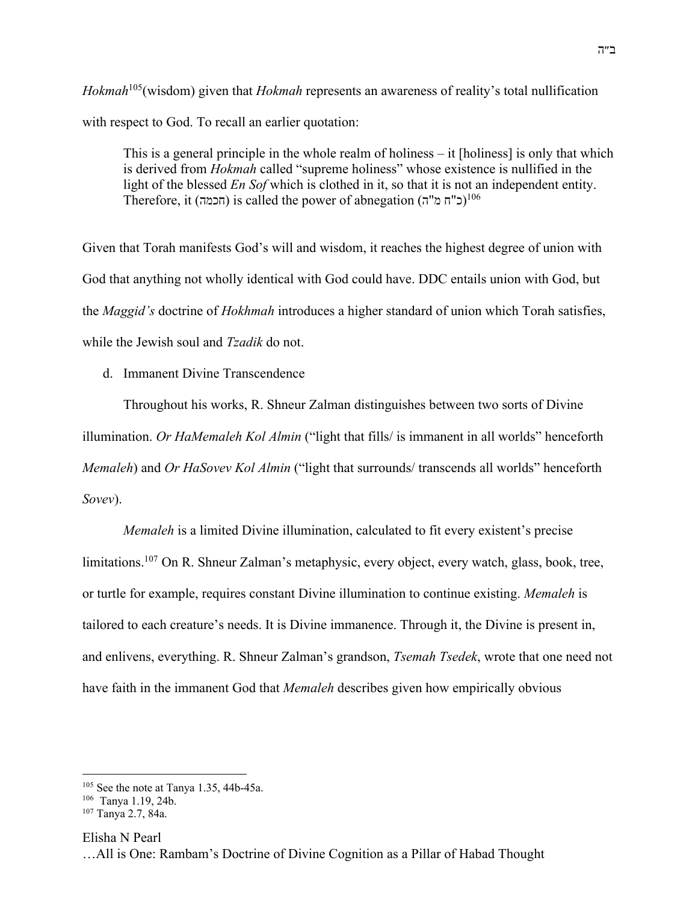*Hokmah*105(wisdom) given that *Hokmah* represents an awareness of reality's total nullification with respect to God. To recall an earlier quotation:

This is a general principle in the whole realm of holiness – it [holiness] is only that which is derived from *Hokmah* called "supreme holiness" whose existence is nullified in the light of the blessed *En Sof* which is clothed in it, so that it is not an independent entity. Therefore, it (הכמה) is called the power of abnegation (ד $^{106}$ 

Given that Torah manifests God's will and wisdom, it reaches the highest degree of union with God that anything not wholly identical with God could have. DDC entails union with God, but the *Maggid's* doctrine of *Hokhmah* introduces a higher standard of union which Torah satisfies, while the Jewish soul and *Tzadik* do not.

d. Immanent Divine Transcendence

Throughout his works, R. Shneur Zalman distinguishes between two sorts of Divine illumination. *Or HaMemaleh Kol Almin* ("light that fills/ is immanent in all worlds" henceforth *Memaleh*) and *Or HaSovev Kol Almin* ("light that surrounds/ transcends all worlds" henceforth *Sovev*).

*Memaleh* is a limited Divine illumination, calculated to fit every existent's precise limitations.<sup>107</sup> On R. Shneur Zalman's metaphysic, every object, every watch, glass, book, tree, or turtle for example, requires constant Divine illumination to continue existing. *Memaleh* is tailored to each creature's needs. It is Divine immanence. Through it, the Divine is present in, and enlivens, everything. R. Shneur Zalman's grandson, *Tsemah Tsedek*, wrote that one need not have faith in the immanent God that *Memaleh* describes given how empirically obvious

Elisha N Pearl

<sup>105</sup> See the note at Tanya 1.35, 44b-45a.

<sup>106</sup> Tanya 1.19, 24b.

<sup>107</sup> Tanya 2.7, 84a.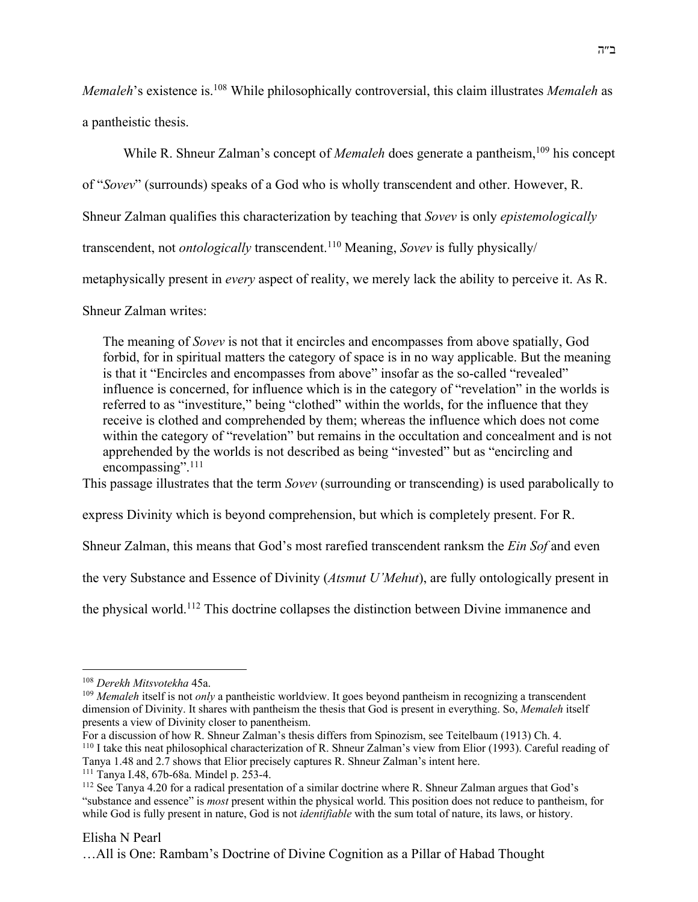*Memaleh*'s existence is.<sup>108</sup> While philosophically controversial, this claim illustrates *Memaleh* as a pantheistic thesis.

While R. Shneur Zalman's concept of *Memaleh* does generate a pantheism,<sup>109</sup> his concept of "*Sovev*" (surrounds) speaks of a God who is wholly transcendent and other. However, R. Shneur Zalman qualifies this characterization by teaching that *Sovev* is only *epistemologically* transcendent, not *ontologically* transcendent.110 Meaning, *Sovev* is fully physically/ metaphysically present in *every* aspect of reality, we merely lack the ability to perceive it. As R.

Shneur Zalman writes:

The meaning of *Sovev* is not that it encircles and encompasses from above spatially, God forbid, for in spiritual matters the category of space is in no way applicable. But the meaning is that it "Encircles and encompasses from above" insofar as the so-called "revealed" influence is concerned, for influence which is in the category of "revelation" in the worlds is referred to as "investiture," being "clothed" within the worlds, for the influence that they receive is clothed and comprehended by them; whereas the influence which does not come within the category of "revelation" but remains in the occultation and concealment and is not apprehended by the worlds is not described as being "invested" but as "encircling and encompassing".<sup>111</sup>

This passage illustrates that the term *Sovev* (surrounding or transcending) is used parabolically to

express Divinity which is beyond comprehension, but which is completely present. For R.

Shneur Zalman, this means that God's most rarefied transcendent ranksm the *Ein Sof* and even

the very Substance and Essence of Divinity (*Atsmut U'Mehut*), are fully ontologically present in

the physical world.112 This doctrine collapses the distinction between Divine immanence and

# Elisha N Pearl

<sup>108</sup> *Derekh Mitsvotekha* 45a.

<sup>&</sup>lt;sup>109</sup> *Memaleh* itself is not *only* a pantheistic worldview. It goes beyond pantheism in recognizing a transcendent dimension of Divinity. It shares with pantheism the thesis that God is present in everything. So, *Memaleh* itself presents a view of Divinity closer to panentheism.

For a discussion of how R. Shneur Zalman's thesis differs from Spinozism, see Teitelbaum (1913) Ch. 4. <sup>110</sup> I take this neat philosophical characterization of R. Shneur Zalman's view from Elior (1993). Careful reading of Tanya 1.48 and 2.7 shows that Elior precisely captures R. Shneur Zalman's intent here.

<sup>111</sup> Tanya I.48, 67b-68a. Mindel p. 253-4.

<sup>112</sup> See Tanya 4.20 for a radical presentation of a similar doctrine where R. Shneur Zalman argues that God's "substance and essence" is *most* present within the physical world. This position does not reduce to pantheism, for while God is fully present in nature, God is not *identifiable* with the sum total of nature, its laws, or history.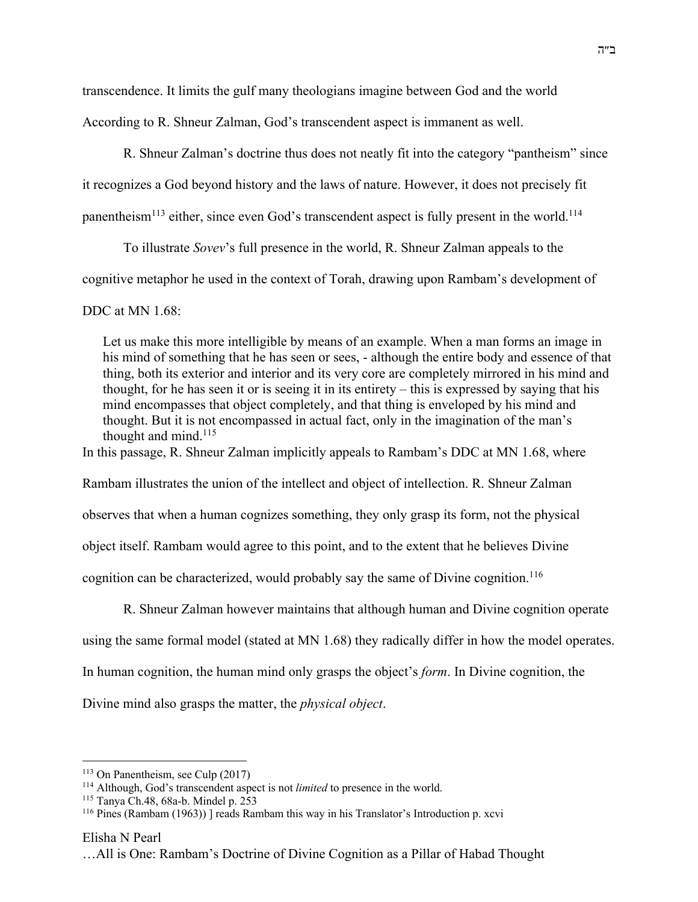transcendence. It limits the gulf many theologians imagine between God and the world

According to R. Shneur Zalman, God's transcendent aspect is immanent as well.

R. Shneur Zalman's doctrine thus does not neatly fit into the category "pantheism" since

it recognizes a God beyond history and the laws of nature. However, it does not precisely fit

panentheism<sup>113</sup> either, since even God's transcendent aspect is fully present in the world.<sup>114</sup>

To illustrate *Sovev*'s full presence in the world, R. Shneur Zalman appeals to the

cognitive metaphor he used in the context of Torah, drawing upon Rambam's development of

DDC at MN 1.68:

Let us make this more intelligible by means of an example. When a man forms an image in his mind of something that he has seen or sees, - although the entire body and essence of that thing, both its exterior and interior and its very core are completely mirrored in his mind and thought, for he has seen it or is seeing it in its entirety – this is expressed by saying that his mind encompasses that object completely, and that thing is enveloped by his mind and thought. But it is not encompassed in actual fact, only in the imagination of the man's thought and mind.<sup>115</sup>

In this passage, R. Shneur Zalman implicitly appeals to Rambam's DDC at MN 1.68, where

Rambam illustrates the union of the intellect and object of intellection. R. Shneur Zalman

observes that when a human cognizes something, they only grasp its form, not the physical

object itself. Rambam would agree to this point, and to the extent that he believes Divine

cognition can be characterized, would probably say the same of Divine cognition.<sup>116</sup>

R. Shneur Zalman however maintains that although human and Divine cognition operate

using the same formal model (stated at MN 1.68) they radically differ in how the model operates.

In human cognition, the human mind only grasps the object's *form*. In Divine cognition, the

Divine mind also grasps the matter, the *physical object*.

<sup>113</sup> On Panentheism, see Culp (2017)

<sup>114</sup> Although, God's transcendent aspect is not *limited* to presence in the world.

<sup>115</sup> Tanya Ch.48, 68a-b. Mindel p. 253

<sup>116</sup> Pines (Rambam (1963)) ] reads Rambam this way in his Translator's Introduction p. xcvi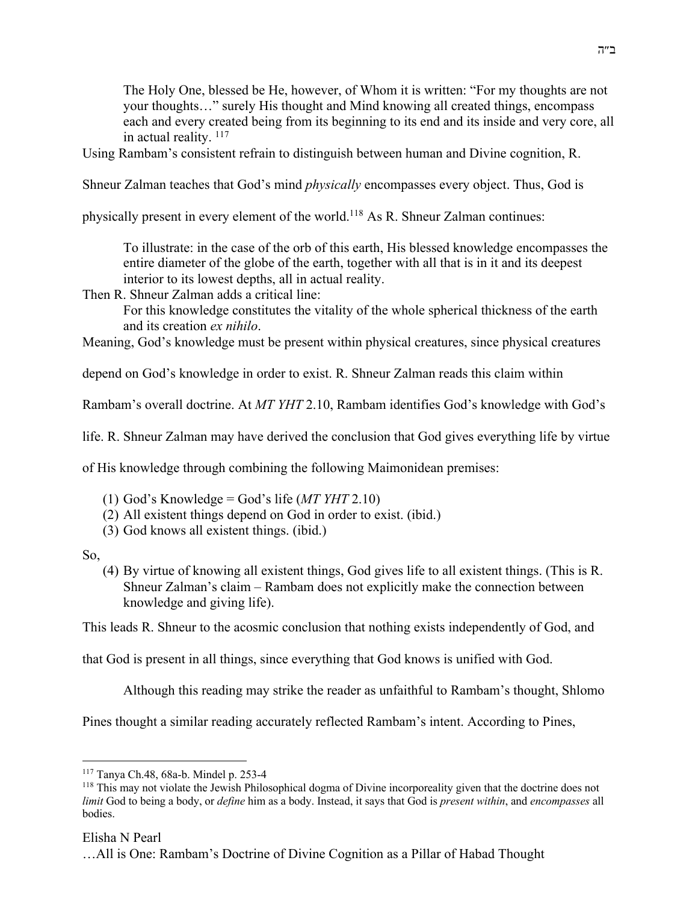The Holy One, blessed be He, however, of Whom it is written: "For my thoughts are not your thoughts…" surely His thought and Mind knowing all created things, encompass each and every created being from its beginning to its end and its inside and very core, all in actual reality.  $117$ 

Using Rambam's consistent refrain to distinguish between human and Divine cognition, R.

Shneur Zalman teaches that God's mind *physically* encompasses every object. Thus, God is

physically present in every element of the world.118 As R. Shneur Zalman continues:

To illustrate: in the case of the orb of this earth, His blessed knowledge encompasses the entire diameter of the globe of the earth, together with all that is in it and its deepest interior to its lowest depths, all in actual reality.

Then R. Shneur Zalman adds a critical line:

For this knowledge constitutes the vitality of the whole spherical thickness of the earth and its creation *ex nihilo*.

Meaning, God's knowledge must be present within physical creatures, since physical creatures

depend on God's knowledge in order to exist. R. Shneur Zalman reads this claim within

Rambam's overall doctrine. At *MT YHT* 2.10, Rambam identifies God's knowledge with God's

life. R. Shneur Zalman may have derived the conclusion that God gives everything life by virtue

of His knowledge through combining the following Maimonidean premises:

- (1) God's Knowledge = God's life (*MT YHT* 2.10)
- (2) All existent things depend on God in order to exist. (ibid.)
- (3) God knows all existent things. (ibid.)

So,

(4) By virtue of knowing all existent things, God gives life to all existent things. (This is R. Shneur Zalman's claim – Rambam does not explicitly make the connection between knowledge and giving life).

This leads R. Shneur to the acosmic conclusion that nothing exists independently of God, and

that God is present in all things, since everything that God knows is unified with God.

Although this reading may strike the reader as unfaithful to Rambam's thought, Shlomo

Pines thought a similar reading accurately reflected Rambam's intent. According to Pines,

<sup>117</sup> Tanya Ch.48, 68a-b. Mindel p. 253-4

<sup>&</sup>lt;sup>118</sup> This may not violate the Jewish Philosophical dogma of Divine incorporeality given that the doctrine does not *limit* God to being a body, or *define* him as a body. Instead, it says that God is *present within*, and *encompasses* all bodies.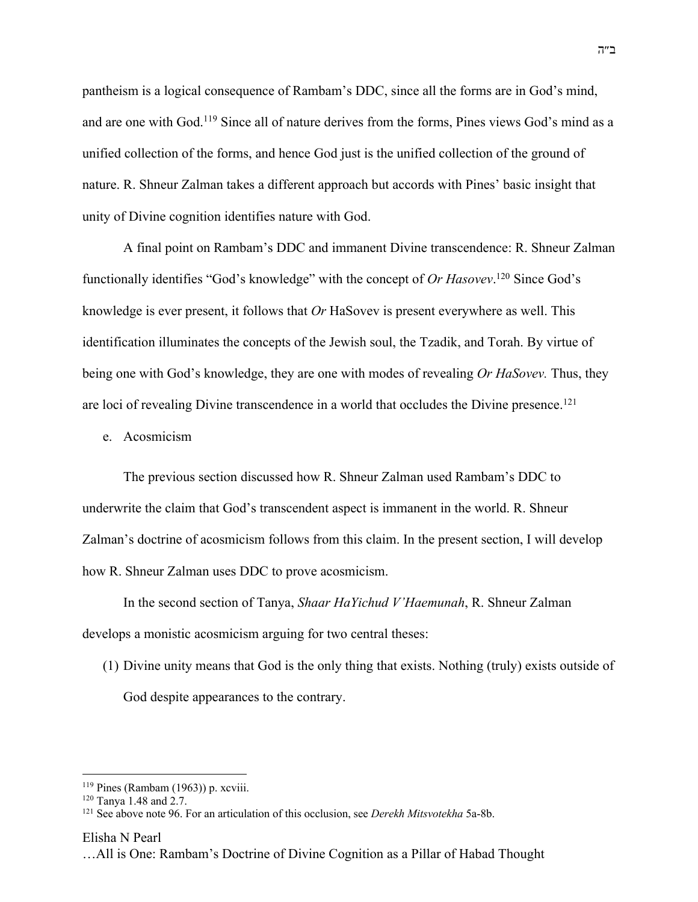pantheism is a logical consequence of Rambam's DDC, since all the forms are in God's mind, and are one with God.119 Since all of nature derives from the forms, Pines views God's mind as a unified collection of the forms, and hence God just is the unified collection of the ground of nature. R. Shneur Zalman takes a different approach but accords with Pines' basic insight that unity of Divine cognition identifies nature with God.

A final point on Rambam's DDC and immanent Divine transcendence: R. Shneur Zalman functionally identifies "God's knowledge" with the concept of *Or Hasovev*. <sup>120</sup> Since God's knowledge is ever present, it follows that *Or* HaSovev is present everywhere as well. This identification illuminates the concepts of the Jewish soul, the Tzadik, and Torah. By virtue of being one with God's knowledge, they are one with modes of revealing *Or HaSovev.* Thus, they are loci of revealing Divine transcendence in a world that occludes the Divine presence.<sup>121</sup>

e. Acosmicism

The previous section discussed how R. Shneur Zalman used Rambam's DDC to underwrite the claim that God's transcendent aspect is immanent in the world. R. Shneur Zalman's doctrine of acosmicism follows from this claim. In the present section, I will develop how R. Shneur Zalman uses DDC to prove acosmicism.

In the second section of Tanya, *Shaar HaYichud V'Haemunah*, R. Shneur Zalman develops a monistic acosmicism arguing for two central theses:

(1) Divine unity means that God is the only thing that exists. Nothing (truly) exists outside of God despite appearances to the contrary.

 $119$  Pines (Rambam (1963)) p. xcviii.

<sup>120</sup> Tanya 1.48 and 2.7.

<sup>121</sup> See above note 96. For an articulation of this occlusion, see *Derekh Mitsvotekha* 5a-8b.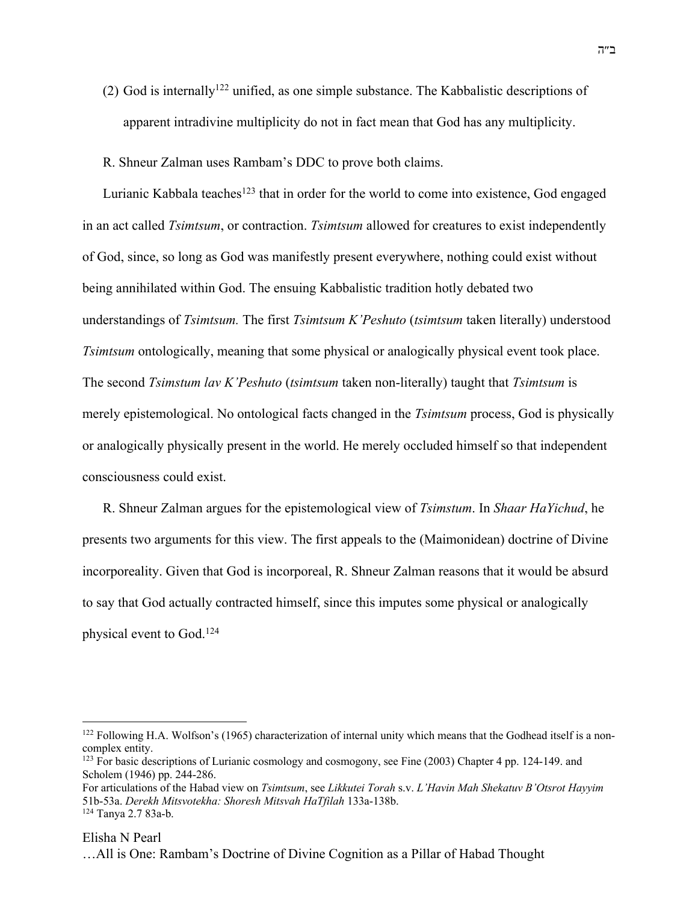- (2) God is internally<sup>122</sup> unified, as one simple substance. The Kabbalistic descriptions of apparent intradivine multiplicity do not in fact mean that God has any multiplicity.
- R. Shneur Zalman uses Rambam's DDC to prove both claims.

Lurianic Kabbala teaches<sup>123</sup> that in order for the world to come into existence, God engaged in an act called *Tsimtsum*, or contraction. *Tsimtsum* allowed for creatures to exist independently of God, since, so long as God was manifestly present everywhere, nothing could exist without being annihilated within God. The ensuing Kabbalistic tradition hotly debated two understandings of *Tsimtsum.* The first *Tsimtsum K'Peshuto* (*tsimtsum* taken literally) understood *Tsimtsum* ontologically, meaning that some physical or analogically physical event took place. The second *Tsimstum lav K'Peshuto* (*tsimtsum* taken non-literally) taught that *Tsimtsum* is merely epistemological. No ontological facts changed in the *Tsimtsum* process, God is physically or analogically physically present in the world. He merely occluded himself so that independent consciousness could exist.

R. Shneur Zalman argues for the epistemological view of *Tsimstum*. In *Shaar HaYichud*, he presents two arguments for this view. The first appeals to the (Maimonidean) doctrine of Divine incorporeality. Given that God is incorporeal, R. Shneur Zalman reasons that it would be absurd to say that God actually contracted himself, since this imputes some physical or analogically physical event to God.124

<sup>&</sup>lt;sup>122</sup> Following H.A. Wolfson's (1965) characterization of internal unity which means that the Godhead itself is a noncomplex entity.

 $123$  For basic descriptions of Lurianic cosmology and cosmogony, see Fine (2003) Chapter 4 pp. 124-149. and Scholem (1946) pp. 244-286.

For articulations of the Habad view on *Tsimtsum*, see *Likkutei Torah* s.v. *L'Havin Mah Shekatuv B'Otsrot Hayyim*  51b-53a. *Derekh Mitsvotekha: Shoresh Mitsvah HaTfilah* 133a-138b. <sup>124</sup> Tanya 2.7 83a-b.

Elisha N Pearl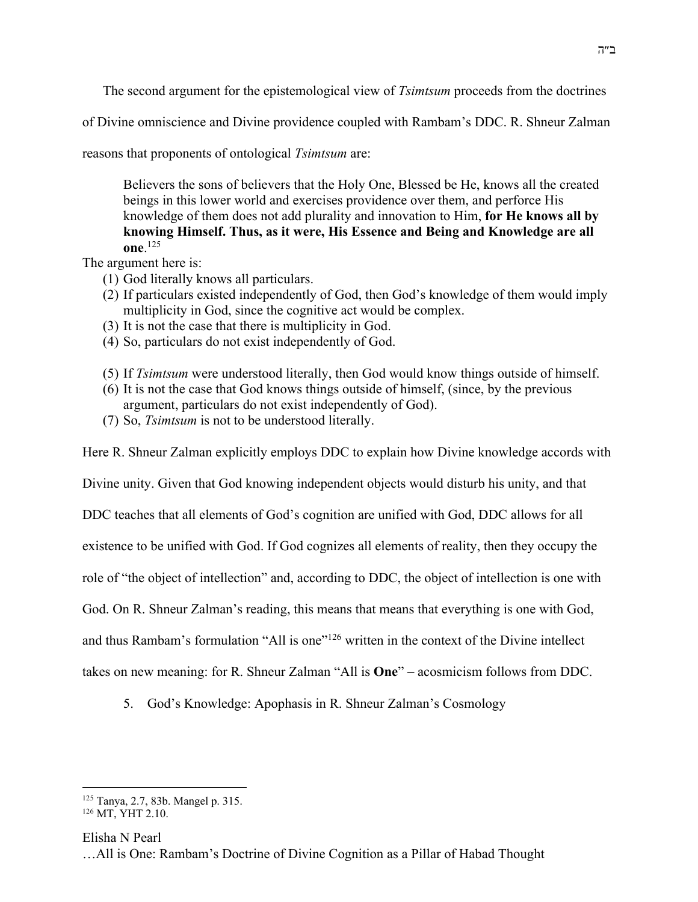The second argument for the epistemological view of *Tsimtsum* proceeds from the doctrines

of Divine omniscience and Divine providence coupled with Rambam's DDC. R. Shneur Zalman

reasons that proponents of ontological *Tsimtsum* are:

Believers the sons of believers that the Holy One, Blessed be He, knows all the created beings in this lower world and exercises providence over them, and perforce His knowledge of them does not add plurality and innovation to Him, **for He knows all by knowing Himself. Thus, as it were, His Essence and Being and Knowledge are all one**. 125

The argument here is:

- (1) God literally knows all particulars.
- (2) If particulars existed independently of God, then God's knowledge of them would imply multiplicity in God, since the cognitive act would be complex.
- (3) It is not the case that there is multiplicity in God.
- (4) So, particulars do not exist independently of God.
- (5) If *Tsimtsum* were understood literally, then God would know things outside of himself.
- (6) It is not the case that God knows things outside of himself, (since, by the previous argument, particulars do not exist independently of God).
- (7) So, *Tsimtsum* is not to be understood literally.

Here R. Shneur Zalman explicitly employs DDC to explain how Divine knowledge accords with

Divine unity. Given that God knowing independent objects would disturb his unity, and that

DDC teaches that all elements of God's cognition are unified with God, DDC allows for all

existence to be unified with God. If God cognizes all elements of reality, then they occupy the

role of "the object of intellection" and, according to DDC, the object of intellection is one with

God. On R. Shneur Zalman's reading, this means that means that everything is one with God,

and thus Rambam's formulation "All is one"<sup>126</sup> written in the context of the Divine intellect

takes on new meaning: for R. Shneur Zalman "All is **One**" – acosmicism follows from DDC.

5. God's Knowledge: Apophasis in R. Shneur Zalman's Cosmology

Elisha N Pearl

<sup>125</sup> Tanya, 2.7, 83b. Mangel p. 315.

<sup>&</sup>lt;sup>126</sup> MT, YHT 2.10.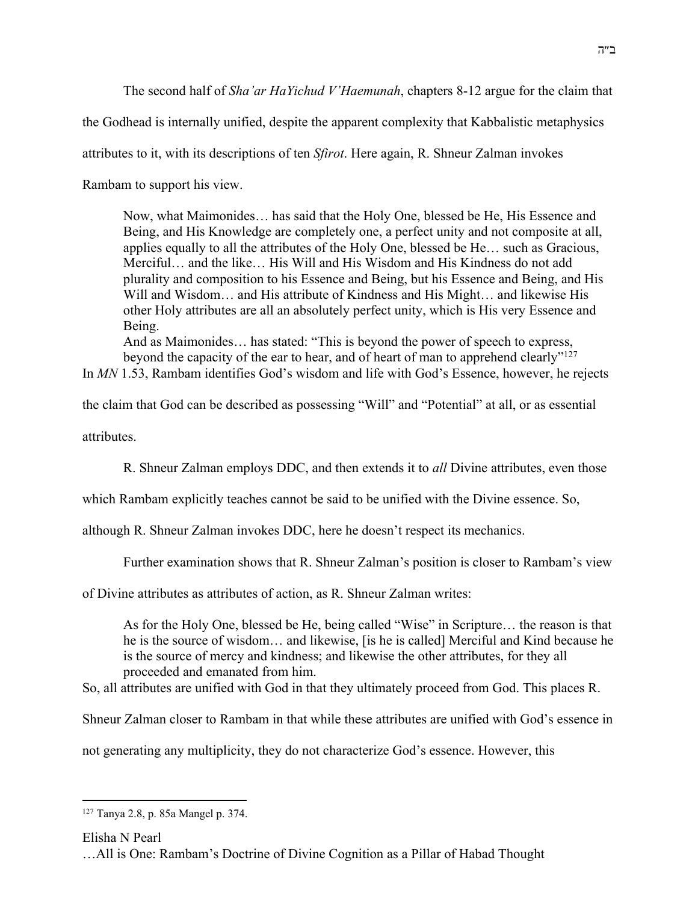The second half of *Sha'ar HaYichud V'Haemunah*, chapters 8-12 argue for the claim that

the Godhead is internally unified, despite the apparent complexity that Kabbalistic metaphysics

attributes to it, with its descriptions of ten *Sfirot*. Here again, R. Shneur Zalman invokes

Rambam to support his view.

Now, what Maimonides… has said that the Holy One, blessed be He, His Essence and Being, and His Knowledge are completely one, a perfect unity and not composite at all, applies equally to all the attributes of the Holy One, blessed be He… such as Gracious, Merciful… and the like… His Will and His Wisdom and His Kindness do not add plurality and composition to his Essence and Being, but his Essence and Being, and His Will and Wisdom… and His attribute of Kindness and His Might… and likewise His other Holy attributes are all an absolutely perfect unity, which is His very Essence and Being.

And as Maimonides… has stated: "This is beyond the power of speech to express, beyond the capacity of the ear to hear, and of heart of man to apprehend clearly"<sup>127</sup>

In *MN* 1.53, Rambam identifies God's wisdom and life with God's Essence, however, he rejects

the claim that God can be described as possessing "Will" and "Potential" at all, or as essential

attributes.

R. Shneur Zalman employs DDC, and then extends it to *all* Divine attributes, even those

which Rambam explicitly teaches cannot be said to be unified with the Divine essence. So,

although R. Shneur Zalman invokes DDC, here he doesn't respect its mechanics.

Further examination shows that R. Shneur Zalman's position is closer to Rambam's view

of Divine attributes as attributes of action, as R. Shneur Zalman writes:

As for the Holy One, blessed be He, being called "Wise" in Scripture… the reason is that he is the source of wisdom… and likewise, [is he is called] Merciful and Kind because he is the source of mercy and kindness; and likewise the other attributes, for they all proceeded and emanated from him.

So, all attributes are unified with God in that they ultimately proceed from God. This places R.

Shneur Zalman closer to Rambam in that while these attributes are unified with God's essence in

not generating any multiplicity, they do not characterize God's essence. However, this

Elisha N Pearl

<sup>127</sup> Tanya 2.8, p. 85a Mangel p. 374.

<sup>…</sup>All is One: Rambam's Doctrine of Divine Cognition as a Pillar of Habad Thought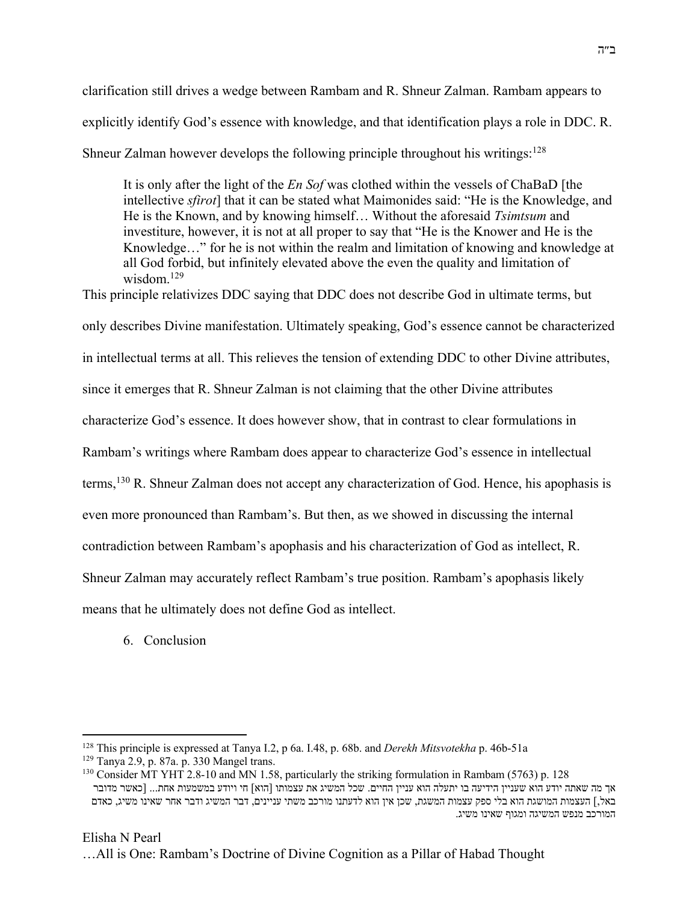clarification still drives a wedge between Rambam and R. Shneur Zalman. Rambam appears to explicitly identify God's essence with knowledge, and that identification plays a role in DDC. R. Shneur Zalman however develops the following principle throughout his writings: $128$ 

It is only after the light of the *En Sof* was clothed within the vessels of ChaBaD [the intellective *sfirot*] that it can be stated what Maimonides said: "He is the Knowledge, and He is the Known, and by knowing himself… Without the aforesaid *Tsimtsum* and investiture, however, it is not at all proper to say that "He is the Knower and He is the Knowledge…" for he is not within the realm and limitation of knowing and knowledge at all God forbid, but infinitely elevated above the even the quality and limitation of wisdom.<sup>129</sup>

This principle relativizes DDC saying that DDC does not describe God in ultimate terms, but

only describes Divine manifestation. Ultimately speaking, God's essence cannot be characterized

in intellectual terms at all. This relieves the tension of extending DDC to other Divine attributes,

since it emerges that R. Shneur Zalman is not claiming that the other Divine attributes

characterize God's essence. It does however show, that in contrast to clear formulations in

Rambam's writings where Rambam does appear to characterize God's essence in intellectual

terms,<sup>130</sup> R. Shneur Zalman does not accept any characterization of God. Hence, his apophasis is

even more pronounced than Rambam's. But then, as we showed in discussing the internal

contradiction between Rambam's apophasis and his characterization of God as intellect, R.

Shneur Zalman may accurately reflect Rambam's true position. Rambam's apophasis likely

means that he ultimately does not define God as intellect.

6. Conclusion

<sup>128</sup> This principle is expressed at Tanya I.2, p 6a. I.48, p. 68b. and *Derekh Mitsvotekha* p. 46b-51a

<sup>129</sup> Tanya 2.9, p. 87a. p. 330 Mangel trans.

<sup>130</sup> Consider MT YHT 2.8-10 and MN 1.58, particularly the striking formulation in Rambam (5763) p. 128 אך מה שאתה יודע הוא שעניין הידיעה בו יתעלה הוא עניין החיים. שכל המשיג את עצמותו [הוא] חי ויודע במשמעות אחת... [כאשר מדובר באל,] העצמות המושגת הוא בלי ספק עצמות המשגת, שכן אין הוא לדעתנו מורכב משתי עניינים, דבר המשיג ודבר אחר שאינו משיג, כאדם .<br>המורכב מנפש המשיגה ומגוף שאינו משיג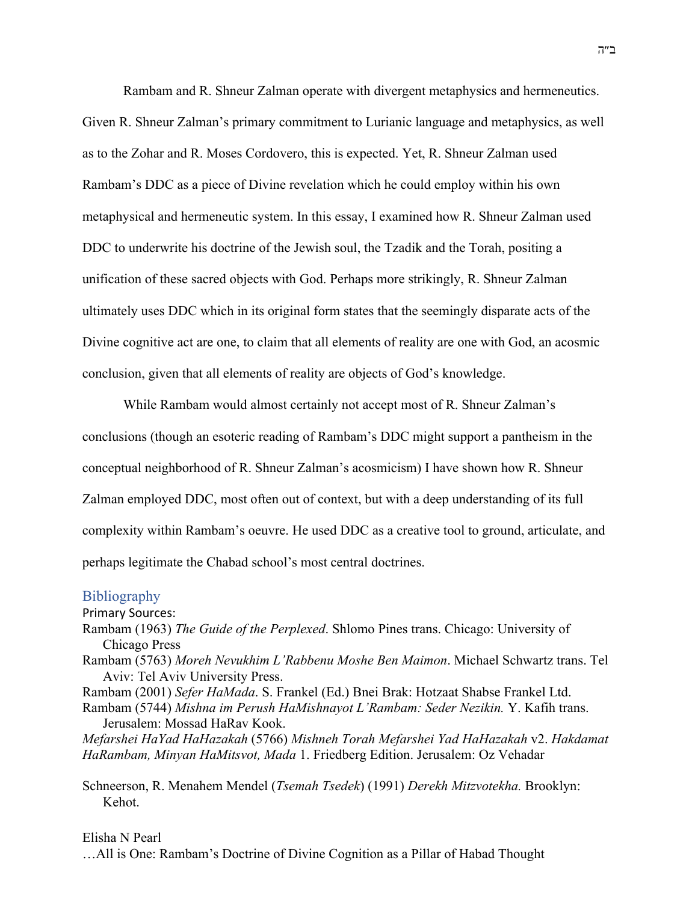Rambam and R. Shneur Zalman operate with divergent metaphysics and hermeneutics. Given R. Shneur Zalman's primary commitment to Lurianic language and metaphysics, as well as to the Zohar and R. Moses Cordovero, this is expected. Yet, R. Shneur Zalman used Rambam's DDC as a piece of Divine revelation which he could employ within his own metaphysical and hermeneutic system. In this essay, I examined how R. Shneur Zalman used DDC to underwrite his doctrine of the Jewish soul, the Tzadik and the Torah, positing a unification of these sacred objects with God. Perhaps more strikingly, R. Shneur Zalman ultimately uses DDC which in its original form states that the seemingly disparate acts of the Divine cognitive act are one, to claim that all elements of reality are one with God, an acosmic conclusion, given that all elements of reality are objects of God's knowledge.

While Rambam would almost certainly not accept most of R. Shneur Zalman's conclusions (though an esoteric reading of Rambam's DDC might support a pantheism in the conceptual neighborhood of R. Shneur Zalman's acosmicism) I have shown how R. Shneur Zalman employed DDC, most often out of context, but with a deep understanding of its full complexity within Rambam's oeuvre. He used DDC as a creative tool to ground, articulate, and perhaps legitimate the Chabad school's most central doctrines.

## **Bibliography**

Primary Sources:

- Rambam (1963) *The Guide of the Perplexed*. Shlomo Pines trans. Chicago: University of Chicago Press
- Rambam (5763) *Moreh Nevukhim L'Rabbenu Moshe Ben Maimon*. Michael Schwartz trans. Tel Aviv: Tel Aviv University Press.
- Rambam (2001) *Sefer HaMada*. S. Frankel (Ed.) Bnei Brak: Hotzaat Shabse Frankel Ltd.
- Rambam (5744) *Mishna im Perush HaMishnayot L'Rambam: Seder Nezikin.* Y. Kafih trans. Jerusalem: Mossad HaRav Kook.

*Mefarshei HaYad HaHazakah* (5766) *Mishneh Torah Mefarshei Yad HaHazakah* v2. *Hakdamat HaRambam, Minyan HaMitsvot, Mada* 1. Friedberg Edition. Jerusalem: Oz Vehadar

Schneerson, R. Menahem Mendel (*Tsemah Tsedek*) (1991) *Derekh Mitzvotekha.* Brooklyn: Kehot.

Elisha N Pearl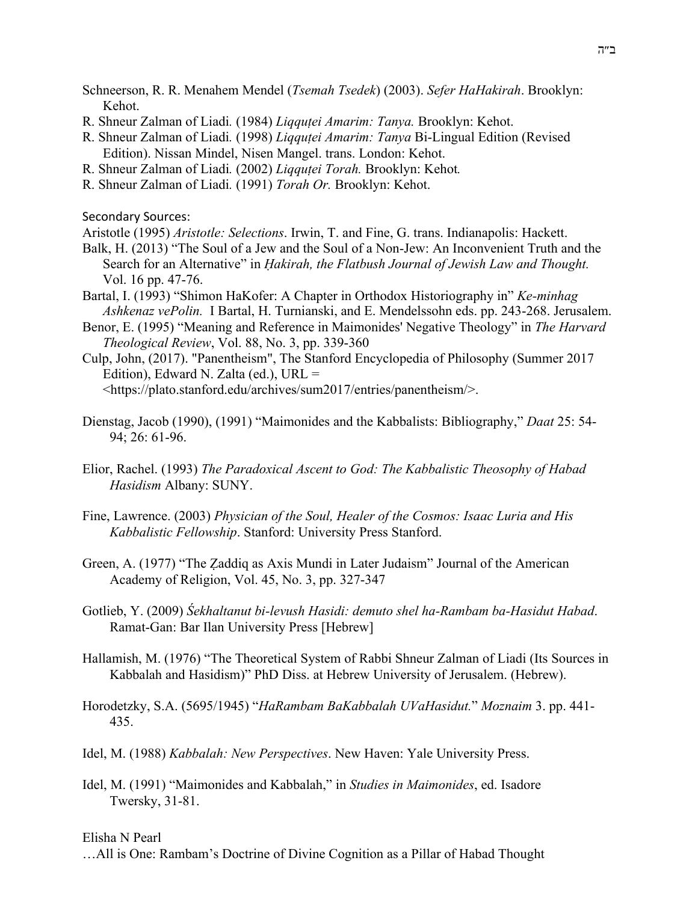Schneerson, R. R. Menahem Mendel (*Tsemah Tsedek*) (2003). *Sefer HaHakirah*. Brooklyn: Kehot.

- R. Shneur Zalman of Liadi*.* (1984) *Liqquṭei Amarim: Tanya.* Brooklyn: Kehot.
- R. Shneur Zalman of Liadi*.* (1998) *Liqquṭei Amarim: Tanya* Bi-Lingual Edition (Revised Edition). Nissan Mindel, Nisen Mangel. trans. London: Kehot.
- R. Shneur Zalman of Liadi*.* (2002) *Liqquṭei Torah.* Brooklyn: Kehot*.*
- R. Shneur Zalman of Liadi*.* (1991) *Torah Or.* Brooklyn: Kehot.

Secondary Sources:

Aristotle (1995) *Aristotle: Selections*. Irwin, T. and Fine, G. trans. Indianapolis: Hackett.

- Balk, H. (2013) "The Soul of a Jew and the Soul of a Non-Jew: An Inconvenient Truth and the Search for an Alternative" in *Ḥakirah, the Flatbush Journal of Jewish Law and Thought.*  Vol. 16 pp. 47-76.
- Bartal, I. (1993) "Shimon HaKofer: A Chapter in Orthodox Historiography in" *Ke-minhag Ashkenaz vePolin.* I Bartal, H. Turnianski, and E. Mendelssohn eds. pp. 243-268. Jerusalem.
- Benor, E. (1995) "Meaning and Reference in Maimonides' Negative Theology" in *The Harvard Theological Review*, Vol. 88, No. 3, pp. 339-360
- Culp, John, (2017). "Panentheism", The Stanford Encyclopedia of Philosophy (Summer 2017 Edition), Edward N. Zalta (ed.), URL =

<https://plato.stanford.edu/archives/sum2017/entries/panentheism/>.

- Dienstag, Jacob (1990), (1991) "Maimonides and the Kabbalists: Bibliography," *Daat* 25: 54- 94; 26: 61-96.
- Elior, Rachel. (1993) *The Paradoxical Ascent to God: The Kabbalistic Theosophy of Habad Hasidism* Albany: SUNY.
- Fine, Lawrence. (2003) *Physician of the Soul, Healer of the Cosmos: Isaac Luria and His Kabbalistic Fellowship*. Stanford: University Press Stanford.
- Green, A. (1977) "The Ẓaddiq as Axis Mundi in Later Judaism" Journal of the American Academy of Religion, Vol. 45, No. 3, pp. 327-347
- Gotlieb, Y. (2009) *Śekhaltanut bi-levush Hasidi: demuto shel ha-Rambam ba-Hasidut Habad*. Ramat-Gan: Bar Ilan University Press [Hebrew]
- Hallamish, M. (1976) "The Theoretical System of Rabbi Shneur Zalman of Liadi (Its Sources in Kabbalah and Hasidism)" PhD Diss. at Hebrew University of Jerusalem. (Hebrew).
- Horodetzky, S.A. (5695/1945) "*HaRambam BaKabbalah UVaHasidut.*" *Moznaim* 3. pp. 441- 435.
- Idel, M. (1988) *Kabbalah: New Perspectives*. New Haven: Yale University Press.
- Idel, M. (1991) "Maimonides and Kabbalah," in *Studies in Maimonides*, ed. Isadore Twersky, 31-81.

Elisha N Pearl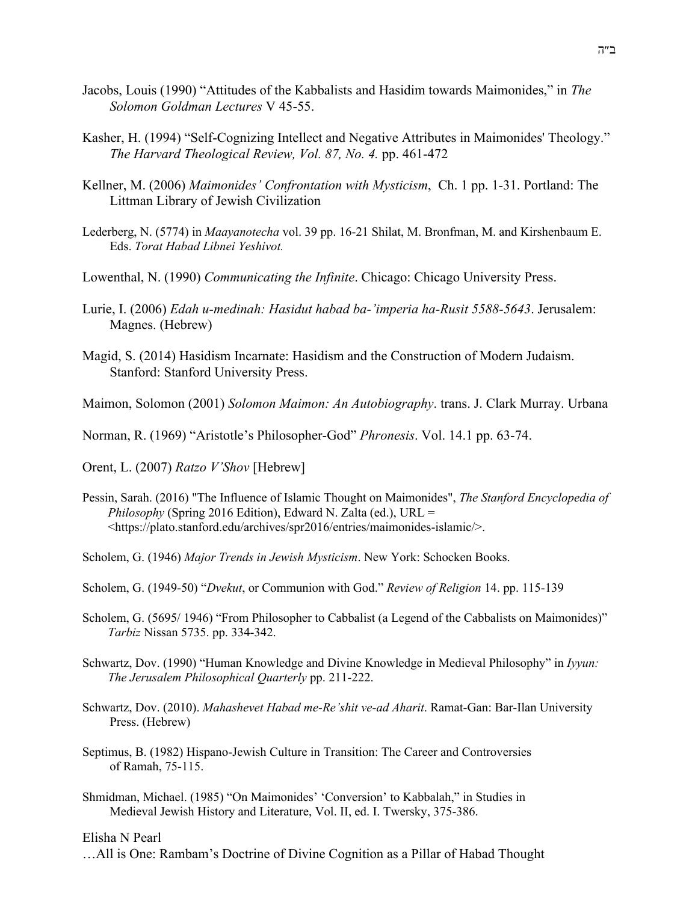- Jacobs, Louis (1990) "Attitudes of the Kabbalists and Hasidim towards Maimonides," in *The Solomon Goldman Lectures* V 45-55.
- Kasher, H. (1994) "Self-Cognizing Intellect and Negative Attributes in Maimonides' Theology." *The Harvard Theological Review, Vol. 87, No. 4.* pp. 461-472
- Kellner, M. (2006) *Maimonides' Confrontation with Mysticism*, Ch. 1 pp. 1-31. Portland: The Littman Library of Jewish Civilization
- Lederberg, N. (5774) in *Maayanotecha* vol. 39 pp. 16-21 Shilat, M. Bronfman, M. and Kirshenbaum E. Eds. *Torat Habad Libnei Yeshivot.*
- Lowenthal, N. (1990) *Communicating the Infinite*. Chicago: Chicago University Press.
- Lurie, I. (2006) *Edah u-medinah: Hasidut habad ba-'imperia ha-Rusit 5588-5643*. Jerusalem: Magnes. (Hebrew)
- Magid, S. (2014) Hasidism Incarnate: Hasidism and the Construction of Modern Judaism. Stanford: Stanford University Press.

Maimon, Solomon (2001) *Solomon Maimon: An Autobiography*. trans. J. Clark Murray. Urbana

Norman, R. (1969) "Aristotle's Philosopher-God" *Phronesis*. Vol. 14.1 pp. 63-74.

Orent, L. (2007) *Ratzo V'Shov* [Hebrew]

Pessin, Sarah. (2016) "The Influence of Islamic Thought on Maimonides", *The Stanford Encyclopedia of Philosophy* (Spring 2016 Edition), Edward N. Zalta (ed.), URL = <https://plato.stanford.edu/archives/spr2016/entries/maimonides-islamic/>.

Scholem, G. (1946) *Major Trends in Jewish Mysticism*. New York: Schocken Books.

Scholem, G. (1949-50) "*Dvekut*, or Communion with God." *Review of Religion* 14. pp. 115-139

- Scholem, G. (5695/ 1946) "From Philosopher to Cabbalist (a Legend of the Cabbalists on Maimonides)" *Tarbiz* Nissan 5735. pp. 334-342.
- Schwartz, Dov. (1990) "Human Knowledge and Divine Knowledge in Medieval Philosophy" in *Iyyun: The Jerusalem Philosophical Quarterly* pp. 211-222.
- Schwartz, Dov. (2010). *Mahashevet Habad me-Re'shit ve-ad Aharit*. Ramat-Gan: Bar-Ilan University Press. (Hebrew)
- Septimus, B. (1982) Hispano-Jewish Culture in Transition: The Career and Controversies of Ramah, 75-115.
- Shmidman, Michael. (1985) "On Maimonides' 'Conversion' to Kabbalah," in Studies in Medieval Jewish History and Literature, Vol. II, ed. I. Twersky, 375-386.

Elisha N Pearl